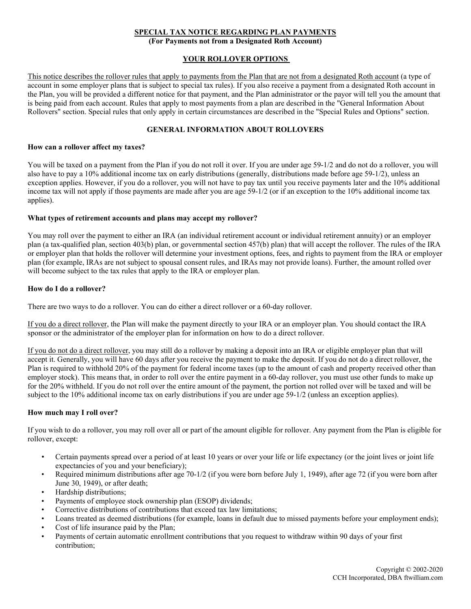## **SPECIAL TAX NOTICE REGARDING PLAN PAYMENTS**

**(For Payments not from a Designated Roth Account)**

## **YOUR ROLLOVER OPTIONS**

This notice describes the rollover rules that apply to payments from the Plan that are not from a designated Roth account (a type of account in some employer plans that is subject to special tax rules). If you also receive a payment from a designated Roth account in the Plan, you will be provided a different notice for that payment, and the Plan administrator or the payor will tell you the amount that is being paid from each account. Rules that apply to most payments from a plan are described in the "General Information About Rollovers" section. Special rules that only apply in certain circumstances are described in the "Special Rules and Options" section.

## **GENERAL INFORMATION ABOUT ROLLOVERS**

### **How can a rollover affect my taxes?**

You will be taxed on a payment from the Plan if you do not roll it over. If you are under age 59-1/2 and do not do a rollover, you will also have to pay a 10% additional income tax on early distributions (generally, distributions made before age 59-1/2), unless an exception applies. However, if you do a rollover, you will not have to pay tax until you receive payments later and the 10% additional income tax will not apply if those payments are made after you are age 59-1/2 (or if an exception to the 10% additional income tax applies).

## **What types of retirement accounts and plans may accept my rollover?**

You may roll over the payment to either an IRA (an individual retirement account or individual retirement annuity) or an employer plan (a tax-qualified plan, section 403(b) plan, or governmental section 457(b) plan) that will accept the rollover. The rules of the IRA or employer plan that holds the rollover will determine your investment options, fees, and rights to payment from the IRA or employer plan (for example, IRAs are not subject to spousal consent rules, and IRAs may not provide loans). Further, the amount rolled over will become subject to the tax rules that apply to the IRA or employer plan.

## **How do I do a rollover?**

There are two ways to do a rollover. You can do either a direct rollover or a 60-day rollover.

If you do a direct rollover, the Plan will make the payment directly to your IRA or an employer plan. You should contact the IRA sponsor or the administrator of the employer plan for information on how to do a direct rollover.

If you do not do a direct rollover, you may still do a rollover by making a deposit into an IRA or eligible employer plan that will accept it. Generally, you will have 60 days after you receive the payment to make the deposit. If you do not do a direct rollover, the Plan is required to withhold 20% of the payment for federal income taxes (up to the amount of cash and property received other than employer stock). This means that, in order to roll over the entire payment in a 60-day rollover, you must use other funds to make up for the 20% withheld. If you do not roll over the entire amount of the payment, the portion not rolled over will be taxed and will be subject to the 10% additional income tax on early distributions if you are under age 59-1/2 (unless an exception applies).

## **How much may I roll over?**

If you wish to do a rollover, you may roll over all or part of the amount eligible for rollover. Any payment from the Plan is eligible for rollover, except:

- Certain payments spread over a period of at least 10 years or over your life or life expectancy (or the joint lives or joint life expectancies of you and your beneficiary);
- Required minimum distributions after age 70-1/2 (if you were born before July 1, 1949), after age 72 (if you were born after June 30, 1949), or after death;
- Hardship distributions;
- Payments of employee stock ownership plan (ESOP) dividends;
- Corrective distributions of contributions that exceed tax law limitations;
- Loans treated as deemed distributions (for example, loans in default due to missed payments before your employment ends);
- Cost of life insurance paid by the Plan;
- Payments of certain automatic enrollment contributions that you request to withdraw within 90 days of your first contribution;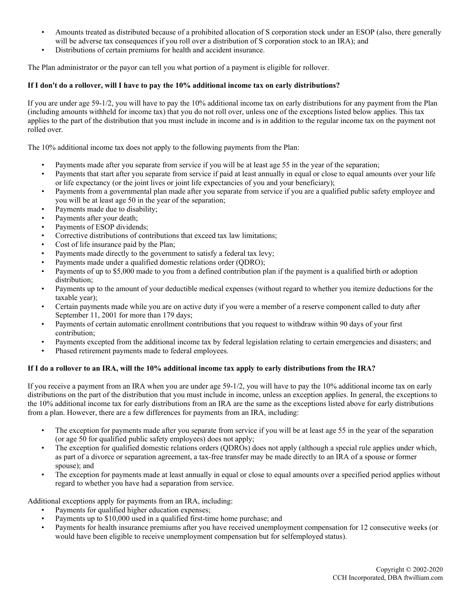- Amounts treated as distributed because of a prohibited allocation of S corporation stock under an ESOP (also, there generally will be adverse tax consequences if you roll over a distribution of S corporation stock to an IRA); and
- Distributions of certain premiums for health and accident insurance.

The Plan administrator or the payor can tell you what portion of a payment is eligible for rollover.

## **If I don't do a rollover, will I have to pay the 10% additional income tax on early distributions?**

If you are under age 59-1/2, you will have to pay the 10% additional income tax on early distributions for any payment from the Plan (including amounts withheld for income tax) that you do not roll over, unless one of the exceptions listed below applies. This tax applies to the part of the distribution that you must include in income and is in addition to the regular income tax on the payment not rolled over.

The 10% additional income tax does not apply to the following payments from the Plan:

- Payments made after you separate from service if you will be at least age 55 in the year of the separation;
- Payments that start after you separate from service if paid at least annually in equal or close to equal amounts over your life or life expectancy (or the joint lives or joint life expectancies of you and your beneficiary);
- Payments from a governmental plan made after you separate from service if you are a qualified public safety employee and you will be at least age 50 in the year of the separation;
- Payments made due to disability;
- Payments after your death;
- Payments of ESOP dividends:
- Corrective distributions of contributions that exceed tax law limitations;
- Cost of life insurance paid by the Plan;
- Payments made directly to the government to satisfy a federal tax levy;
- Payments made under a qualified domestic relations order (QDRO);
- Payments of up to \$5,000 made to you from a defined contribution plan if the payment is a qualified birth or adoption distribution;
- Payments up to the amount of your deductible medical expenses (without regard to whether you itemize deductions for the taxable year);
- Certain payments made while you are on active duty if you were a member of a reserve component called to duty after September 11, 2001 for more than 179 days;
- Payments of certain automatic enrollment contributions that you request to withdraw within 90 days of your first contribution;
- Payments excepted from the additional income tax by federal legislation relating to certain emergencies and disasters; and
- Phased retirement payments made to federal employees.

## **If I do a rollover to an IRA, will the 10% additional income tax apply to early distributions from the IRA?**

If you receive a payment from an IRA when you are under age 59-1/2, you will have to pay the 10% additional income tax on early distributions on the part of the distribution that you must include in income, unless an exception applies. In general, the exceptions to the 10% additional income tax for early distributions from an IRA are the same as the exceptions listed above for early distributions from a plan. However, there are a few differences for payments from an IRA, including:

- The exception for payments made after you separate from service if you will be at least age 55 in the year of the separation (or age 50 for qualified public safety employees) does not apply;
- The exception for qualified domestic relations orders (QDROs) does not apply (although a special rule applies under which, as part of a divorce or separation agreement, a tax-free transfer may be made directly to an IRA of a spouse or former spouse); and
- The exception for payments made at least annually in equal or close to equal amounts over a specified period applies without regard to whether you have had a separation from service.

Additional exceptions apply for payments from an IRA, including:

- Payments for qualified higher education expenses;
- Payments up to \$10,000 used in a qualified first-time home purchase; and
- Payments for health insurance premiums after you have received unemployment compensation for 12 consecutive weeks (or would have been eligible to receive unemployment compensation but for selfemployed status).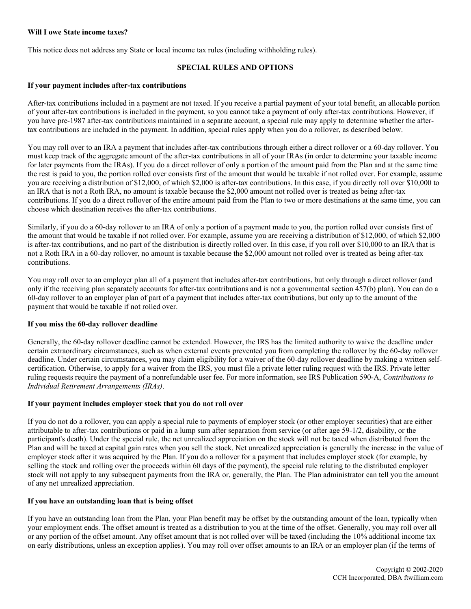### **Will I owe State income taxes?**

This notice does not address any State or local income tax rules (including withholding rules).

# **SPECIAL RULES AND OPTIONS**

#### **If your payment includes after-tax contributions**

After-tax contributions included in a payment are not taxed. If you receive a partial payment of your total benefit, an allocable portion of your after-tax contributions is included in the payment, so you cannot take a payment of only after-tax contributions. However, if you have pre-1987 after-tax contributions maintained in a separate account, a special rule may apply to determine whether the aftertax contributions are included in the payment. In addition, special rules apply when you do a rollover, as described below.

You may roll over to an IRA a payment that includes after-tax contributions through either a direct rollover or a 60-day rollover. You must keep track of the aggregate amount of the after-tax contributions in all of your IRAs (in order to determine your taxable income for later payments from the IRAs). If you do a direct rollover of only a portion of the amount paid from the Plan and at the same time the rest is paid to you, the portion rolled over consists first of the amount that would be taxable if not rolled over. For example, assume you are receiving a distribution of \$12,000, of which \$2,000 is after-tax contributions. In this case, if you directly roll over \$10,000 to an IRA that is not a Roth IRA, no amount is taxable because the \$2,000 amount not rolled over is treated as being after-tax contributions. If you do a direct rollover of the entire amount paid from the Plan to two or more destinations at the same time, you can choose which destination receives the after-tax contributions.

Similarly, if you do a 60-day rollover to an IRA of only a portion of a payment made to you, the portion rolled over consists first of the amount that would be taxable if not rolled over. For example, assume you are receiving a distribution of \$12,000, of which \$2,000 is after-tax contributions, and no part of the distribution is directly rolled over. In this case, if you roll over \$10,000 to an IRA that is not a Roth IRA in a 60-day rollover, no amount is taxable because the \$2,000 amount not rolled over is treated as being after-tax contributions.

You may roll over to an employer plan all of a payment that includes after-tax contributions, but only through a direct rollover (and only if the receiving plan separately accounts for after-tax contributions and is not a governmental section 457(b) plan). You can do a 60-day rollover to an employer plan of part of a payment that includes after-tax contributions, but only up to the amount of the payment that would be taxable if not rolled over.

#### **If you miss the 60-day rollover deadline**

Generally, the 60-day rollover deadline cannot be extended. However, the IRS has the limited authority to waive the deadline under certain extraordinary circumstances, such as when external events prevented you from completing the rollover by the 60-day rollover deadline. Under certain circumstances, you may claim eligibility for a waiver of the 60-day rollover deadline by making a written selfcertification. Otherwise, to apply for a waiver from the IRS, you must file a private letter ruling request with the IRS. Private letter ruling requests require the payment of a nonrefundable user fee. For more information, see IRS Publication 590-A, *Contributions to Individual Retirement Arrangements (IRAs)*.

## **If your payment includes employer stock that you do not roll over**

If you do not do a rollover, you can apply a special rule to payments of employer stock (or other employer securities) that are either attributable to after-tax contributions or paid in a lump sum after separation from service (or after age 59-1/2, disability, or the participant's death). Under the special rule, the net unrealized appreciation on the stock will not be taxed when distributed from the Plan and will be taxed at capital gain rates when you sell the stock. Net unrealized appreciation is generally the increase in the value of employer stock after it was acquired by the Plan. If you do a rollover for a payment that includes employer stock (for example, by selling the stock and rolling over the proceeds within 60 days of the payment), the special rule relating to the distributed employer stock will not apply to any subsequent payments from the IRA or, generally, the Plan. The Plan administrator can tell you the amount of any net unrealized appreciation.

## **If you have an outstanding loan that is being offset**

If you have an outstanding loan from the Plan, your Plan benefit may be offset by the outstanding amount of the loan, typically when your employment ends. The offset amount is treated as a distribution to you at the time of the offset. Generally, you may roll over all or any portion of the offset amount. Any offset amount that is not rolled over will be taxed (including the 10% additional income tax on early distributions, unless an exception applies). You may roll over offset amounts to an IRA or an employer plan (if the terms of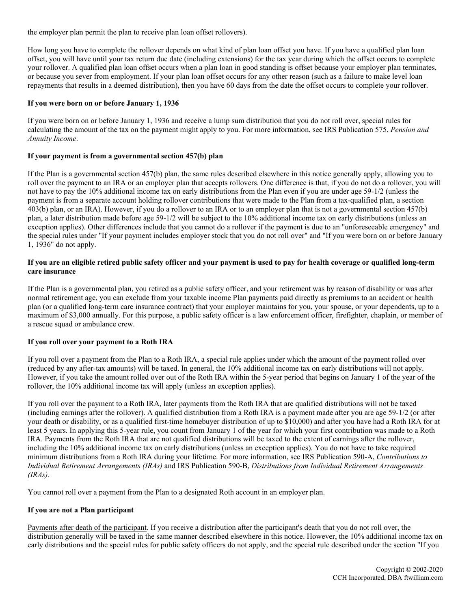the employer plan permit the plan to receive plan loan offset rollovers).

How long you have to complete the rollover depends on what kind of plan loan offset you have. If you have a qualified plan loan offset, you will have until your tax return due date (including extensions) for the tax year during which the offset occurs to complete your rollover. A qualified plan loan offset occurs when a plan loan in good standing is offset because your employer plan terminates, or because you sever from employment. If your plan loan offset occurs for any other reason (such as a failure to make level loan repayments that results in a deemed distribution), then you have 60 days from the date the offset occurs to complete your rollover.

### **If you were born on or before January 1, 1936**

If you were born on or before January 1, 1936 and receive a lump sum distribution that you do not roll over, special rules for calculating the amount of the tax on the payment might apply to you. For more information, see IRS Publication 575, *Pension and Annuity Income*.

### **If your payment is from a governmental section 457(b) plan**

If the Plan is a governmental section 457(b) plan, the same rules described elsewhere in this notice generally apply, allowing you to roll over the payment to an IRA or an employer plan that accepts rollovers. One difference is that, if you do not do a rollover, you will not have to pay the 10% additional income tax on early distributions from the Plan even if you are under age 59-1/2 (unless the payment is from a separate account holding rollover contributions that were made to the Plan from a tax-qualified plan, a section 403(b) plan, or an IRA). However, if you do a rollover to an IRA or to an employer plan that is not a governmental section 457(b) plan, a later distribution made before age 59-1/2 will be subject to the 10% additional income tax on early distributions (unless an exception applies). Other differences include that you cannot do a rollover if the payment is due to an "unforeseeable emergency" and the special rules under "If your payment includes employer stock that you do not roll over" and "If you were born on or before January 1, 1936" do not apply.

# **If you are an eligible retired public safety officer and your payment is used to pay for health coverage or qualified long-term care insurance**

If the Plan is a governmental plan, you retired as a public safety officer, and your retirement was by reason of disability or was after normal retirement age, you can exclude from your taxable income Plan payments paid directly as premiums to an accident or health plan (or a qualified long-term care insurance contract) that your employer maintains for you, your spouse, or your dependents, up to a maximum of \$3,000 annually. For this purpose, a public safety officer is a law enforcement officer, firefighter, chaplain, or member of a rescue squad or ambulance crew.

## **If you roll over your payment to a Roth IRA**

If you roll over a payment from the Plan to a Roth IRA, a special rule applies under which the amount of the payment rolled over (reduced by any after-tax amounts) will be taxed. In general, the 10% additional income tax on early distributions will not apply. However, if you take the amount rolled over out of the Roth IRA within the 5-year period that begins on January 1 of the year of the rollover, the 10% additional income tax will apply (unless an exception applies).

If you roll over the payment to a Roth IRA, later payments from the Roth IRA that are qualified distributions will not be taxed (including earnings after the rollover). A qualified distribution from a Roth IRA is a payment made after you are age 59-1/2 (or after your death or disability, or as a qualified first-time homebuyer distribution of up to \$10,000) and after you have had a Roth IRA for at least 5 years. In applying this 5-year rule, you count from January 1 of the year for which your first contribution was made to a Roth IRA. Payments from the Roth IRA that are not qualified distributions will be taxed to the extent of earnings after the rollover, including the 10% additional income tax on early distributions (unless an exception applies). You do not have to take required minimum distributions from a Roth IRA during your lifetime. For more information, see IRS Publication 590-A, *Contributions to Individual Retirement Arrangements (IRAs)* and IRS Publication 590-B, *Distributions from Individual Retirement Arrangements (IRAs)*.

You cannot roll over a payment from the Plan to a designated Roth account in an employer plan.

## **If you are not a Plan participant**

Payments after death of the participant. If you receive a distribution after the participant's death that you do not roll over, the distribution generally will be taxed in the same manner described elsewhere in this notice. However, the 10% additional income tax on early distributions and the special rules for public safety officers do not apply, and the special rule described under the section "If you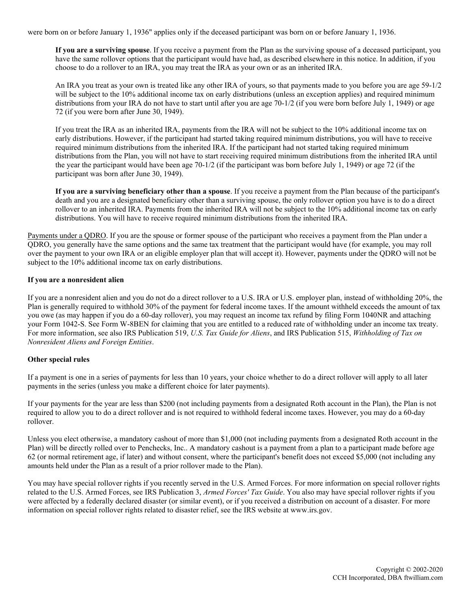were born on or before January 1, 1936" applies only if the deceased participant was born on or before January 1, 1936.

**If you are a surviving spouse**. If you receive a payment from the Plan as the surviving spouse of a deceased participant, you have the same rollover options that the participant would have had, as described elsewhere in this notice. In addition, if you choose to do a rollover to an IRA, you may treat the IRA as your own or as an inherited IRA.

An IRA you treat as your own is treated like any other IRA of yours, so that payments made to you before you are age 59-1/2 will be subject to the 10% additional income tax on early distributions (unless an exception applies) and required minimum distributions from your IRA do not have to start until after you are age 70-1/2 (if you were born before July 1, 1949) or age 72 (if you were born after June 30, 1949).

If you treat the IRA as an inherited IRA, payments from the IRA will not be subject to the 10% additional income tax on early distributions. However, if the participant had started taking required minimum distributions, you will have to receive required minimum distributions from the inherited IRA. If the participant had not started taking required minimum distributions from the Plan, you will not have to start receiving required minimum distributions from the inherited IRA until the year the participant would have been age 70-1/2 (if the participant was born before July 1, 1949) or age 72 (if the participant was born after June 30, 1949).

**If you are a surviving beneficiary other than a spouse**. If you receive a payment from the Plan because of the participant's death and you are a designated beneficiary other than a surviving spouse, the only rollover option you have is to do a direct rollover to an inherited IRA. Payments from the inherited IRA will not be subject to the 10% additional income tax on early distributions. You will have to receive required minimum distributions from the inherited IRA.

Payments under a QDRO. If you are the spouse or former spouse of the participant who receives a payment from the Plan under a QDRO, you generally have the same options and the same tax treatment that the participant would have (for example, you may roll over the payment to your own IRA or an eligible employer plan that will accept it). However, payments under the QDRO will not be subject to the 10% additional income tax on early distributions.

### **If you are a nonresident alien**

If you are a nonresident alien and you do not do a direct rollover to a U.S. IRA or U.S. employer plan, instead of withholding 20%, the Plan is generally required to withhold 30% of the payment for federal income taxes. If the amount withheld exceeds the amount of tax you owe (as may happen if you do a 60-day rollover), you may request an income tax refund by filing Form 1040NR and attaching your Form 1042-S. See Form W-8BEN for claiming that you are entitled to a reduced rate of withholding under an income tax treaty. For more information, see also IRS Publication 519, *U.S. Tax Guide for Aliens*, and IRS Publication 515, *Withholding of Tax on Nonresident Aliens and Foreign Entities*.

## **Other special rules**

If a payment is one in a series of payments for less than 10 years, your choice whether to do a direct rollover will apply to all later payments in the series (unless you make a different choice for later payments).

If your payments for the year are less than \$200 (not including payments from a designated Roth account in the Plan), the Plan is not required to allow you to do a direct rollover and is not required to withhold federal income taxes. However, you may do a 60-day rollover.

Unless you elect otherwise, a mandatory cashout of more than \$1,000 (not including payments from a designated Roth account in the Plan) will be directly rolled over to Penchecks, Inc.. A mandatory cashout is a payment from a plan to a participant made before age 62 (or normal retirement age, if later) and without consent, where the participant's benefit does not exceed \$5,000 (not including any amounts held under the Plan as a result of a prior rollover made to the Plan).

You may have special rollover rights if you recently served in the U.S. Armed Forces. For more information on special rollover rights related to the U.S. Armed Forces, see IRS Publication 3, *Armed Forces' Tax Guide*. You also may have special rollover rights if you were affected by a federally declared disaster (or similar event), or if you received a distribution on account of a disaster. For more information on special rollover rights related to disaster relief, see the IRS website at www.irs.gov.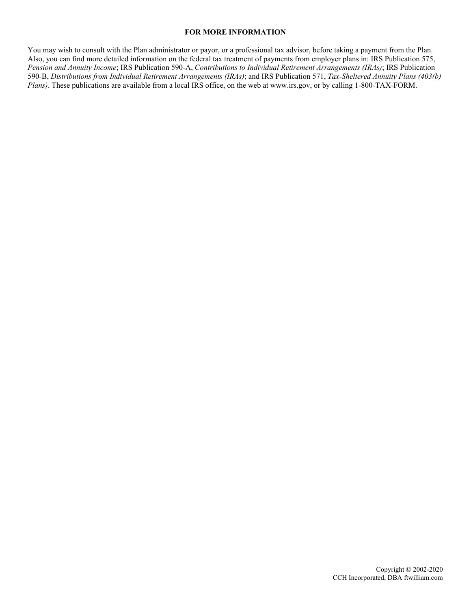#### **FOR MORE INFORMATION**

You may wish to consult with the Plan administrator or payor, or a professional tax advisor, before taking a payment from the Plan. Also, you can find more detailed information on the federal tax treatment of payments from employer plans in: IRS Publication 575, *Pension and Annuity Income*; IRS Publication 590-A, *Contributions to Individual Retirement Arrangements (IRAs)*; IRS Publication 590-B, *Distributions from Individual Retirement Arrangements (IRAs)*; and IRS Publication 571, *Tax-Sheltered Annuity Plans (403(b) Plans)*. These publications are available from a local IRS office, on the web at www.irs.gov, or by calling 1-800-TAX-FORM.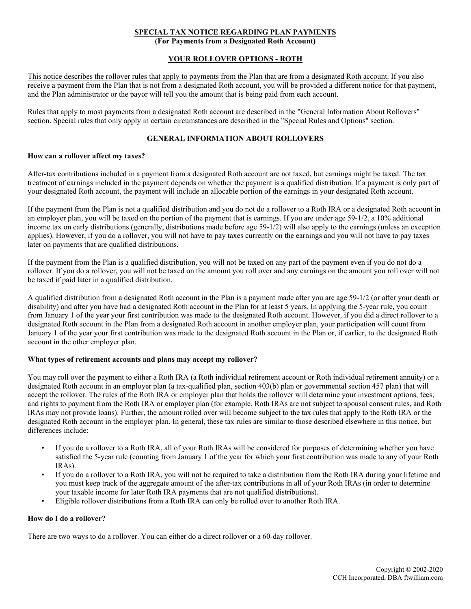# **SPECIAL TAX NOTICE REGARDING PLAN PAYMENTS**

**(For Payments from a Designated Roth Account)**

## **YOUR ROLLOVER OPTIONS - ROTH**

This notice describes the rollover rules that apply to payments from the Plan that are from a designated Roth account. If you also receive a payment from the Plan that is not from a designated Roth account, you will be provided a different notice for that payment, and the Plan administrator or the payor will tell you the amount that is being paid from each account.

Rules that apply to most payments from a designated Roth account are described in the "General Information About Rollovers" section. Special rules that only apply in certain circumstances are described in the "Special Rules and Options" section.

#### **GENERAL INFORMATION ABOUT ROLLOVERS**

#### **How can a rollover affect my taxes?**

After-tax contributions included in a payment from a designated Roth account are not taxed, but earnings might be taxed. The tax treatment of earnings included in the payment depends on whether the payment is a qualified distribution. If a payment is only part of your designated Roth account, the payment will include an allocable portion of the earnings in your designated Roth account.

If the payment from the Plan is not a qualified distribution and you do not do a rollover to a Roth IRA or a designated Roth account in an employer plan, you will be taxed on the portion of the payment that is earnings. If you are under age 59-1/2, a 10% additional income tax on early distributions (generally, distributions made before age 59-1/2) will also apply to the earnings (unless an exception applies). However, if you do a rollover, you will not have to pay taxes currently on the earnings and you will not have to pay taxes later on payments that are qualified distributions.

If the payment from the Plan is a qualified distribution, you will not be taxed on any part of the payment even if you do not do a rollover. If you do a rollover, you will not be taxed on the amount you roll over and any earnings on the amount you roll over will not be taxed if paid later in a qualified distribution.

A qualified distribution from a designated Roth account in the Plan is a payment made after you are age 59-1/2 (or after your death or disability) and after you have had a designated Roth account in the Plan for at least 5 years. In applying the 5-year rule, you count from January 1 of the year your first contribution was made to the designated Roth account. However, if you did a direct rollover to a designated Roth account in the Plan from a designated Roth account in another employer plan, your participation will count from January 1 of the year your first contribution was made to the designated Roth account in the Plan or, if earlier, to the designated Roth account in the other employer plan.

# **What types of retirement accounts and plans may accept my rollover?**

You may roll over the payment to either a Roth IRA (a Roth individual retirement account or Roth individual retirement annuity) or a designated Roth account in an employer plan (a tax-qualified plan, section 403(b) plan or governmental section 457 plan) that will accept the rollover. The rules of the Roth IRA or employer plan that holds the rollover will determine your investment options, fees, and rights to payment from the Roth IRA or employer plan (for example, Roth IRAs are not subject to spousal consent rules, and Roth IRAs may not provide loans). Further, the amount rolled over will become subject to the tax rules that apply to the Roth IRA or the designated Roth account in the employer plan. In general, these tax rules are similar to those described elsewhere in this notice, but differences include:

- If you do a rollover to a Roth IRA, all of your Roth IRAs will be considered for purposes of determining whether you have satisfied the 5-year rule (counting from January 1 of the year for which your first contribution was made to any of your Roth IRAs).
- If you do a rollover to a Roth IRA, you will not be required to take a distribution from the Roth IRA during your lifetime and you must keep track of the aggregate amount of the after-tax contributions in all of your Roth IRAs (in order to determine your taxable income for later Roth IRA payments that are not qualified distributions).
- Eligible rollover distributions from a Roth IRA can only be rolled over to another Roth IRA.

#### **How do I do a rollover?**

There are two ways to do a rollover. You can either do a direct rollover or a 60-day rollover.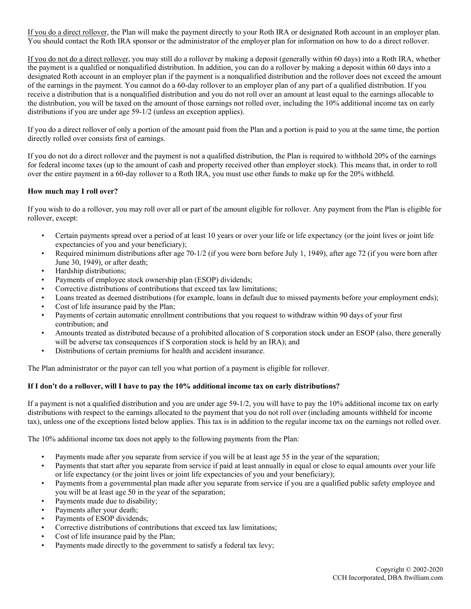If you do a direct rollover, the Plan will make the payment directly to your Roth IRA or designated Roth account in an employer plan. You should contact the Roth IRA sponsor or the administrator of the employer plan for information on how to do a direct rollover.

If you do not do a direct rollover, you may still do a rollover by making a deposit (generally within 60 days) into a Roth IRA, whether the payment is a qualified or nonqualified distribution. In addition, you can do a rollover by making a deposit within 60 days into a designated Roth account in an employer plan if the payment is a nonqualified distribution and the rollover does not exceed the amount of the earnings in the payment. You cannot do a 60-day rollover to an employer plan of any part of a qualified distribution. If you receive a distribution that is a nonqualified distribution and you do not roll over an amount at least equal to the earnings allocable to the distribution, you will be taxed on the amount of those earnings not rolled over, including the 10% additional income tax on early distributions if you are under age 59-1/2 (unless an exception applies).

If you do a direct rollover of only a portion of the amount paid from the Plan and a portion is paid to you at the same time, the portion directly rolled over consists first of earnings.

If you do not do a direct rollover and the payment is not a qualified distribution, the Plan is required to withhold 20% of the earnings for federal income taxes (up to the amount of cash and property received other than employer stock). This means that, in order to roll over the entire payment in a 60-day rollover to a Roth IRA, you must use other funds to make up for the 20% withheld.

## **How much may I roll over?**

If you wish to do a rollover, you may roll over all or part of the amount eligible for rollover. Any payment from the Plan is eligible for rollover, except:

- Certain payments spread over a period of at least 10 years or over your life or life expectancy (or the joint lives or joint life expectancies of you and your beneficiary);
- Required minimum distributions after age 70-1/2 (if you were born before July 1, 1949), after age 72 (if you were born after June 30, 1949), or after death;
- Hardship distributions;
- Payments of employee stock ownership plan (ESOP) dividends;
- Corrective distributions of contributions that exceed tax law limitations;
- Loans treated as deemed distributions (for example, loans in default due to missed payments before your employment ends);
- Cost of life insurance paid by the Plan:
- Payments of certain automatic enrollment contributions that you request to withdraw within 90 days of your first contribution; and
- Amounts treated as distributed because of a prohibited allocation of S corporation stock under an ESOP (also, there generally will be adverse tax consequences if S corporation stock is held by an IRA); and
- Distributions of certain premiums for health and accident insurance.

The Plan administrator or the payor can tell you what portion of a payment is eligible for rollover.

## **If I don't do a rollover, will I have to pay the 10% additional income tax on early distributions?**

If a payment is not a qualified distribution and you are under age 59-1/2, you will have to pay the 10% additional income tax on early distributions with respect to the earnings allocated to the payment that you do not roll over (including amounts withheld for income tax), unless one of the exceptions listed below applies. This tax is in addition to the regular income tax on the earnings not rolled over.

The 10% additional income tax does not apply to the following payments from the Plan:

- Payments made after you separate from service if you will be at least age 55 in the year of the separation;
- Payments that start after you separate from service if paid at least annually in equal or close to equal amounts over your life or life expectancy (or the joint lives or joint life expectancies of you and your beneficiary);
- Payments from a governmental plan made after you separate from service if you are a qualified public safety employee and you will be at least age 50 in the year of the separation;
- Payments made due to disability;
- Payments after your death;
- Payments of ESOP dividends;
- Corrective distributions of contributions that exceed tax law limitations;
- Cost of life insurance paid by the Plan;
- Payments made directly to the government to satisfy a federal tax levy;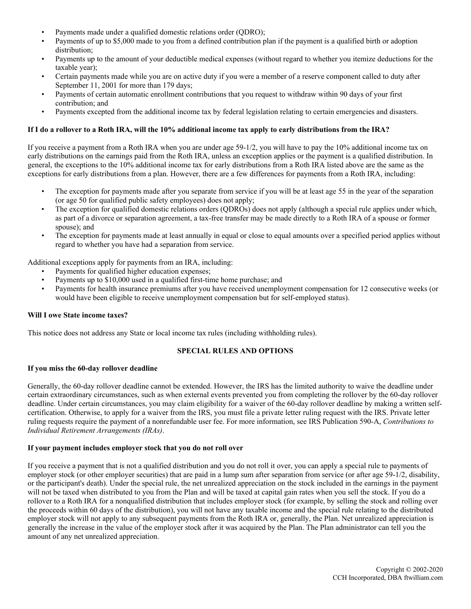- Payments made under a qualified domestic relations order (ODRO);
- Payments of up to \$5,000 made to you from a defined contribution plan if the payment is a qualified birth or adoption distribution;
- Payments up to the amount of your deductible medical expenses (without regard to whether you itemize deductions for the taxable year);
- Certain payments made while you are on active duty if you were a member of a reserve component called to duty after September 11, 2001 for more than 179 days;
- Payments of certain automatic enrollment contributions that you request to withdraw within 90 days of your first contribution; and
- Payments excepted from the additional income tax by federal legislation relating to certain emergencies and disasters.

### **If I do a rollover to a Roth IRA, will the 10% additional income tax apply to early distributions from the IRA?**

If you receive a payment from a Roth IRA when you are under age 59-1/2, you will have to pay the 10% additional income tax on early distributions on the earnings paid from the Roth IRA, unless an exception applies or the payment is a qualified distribution. In general, the exceptions to the 10% additional income tax for early distributions from a Roth IRA listed above are the same as the exceptions for early distributions from a plan. However, there are a few differences for payments from a Roth IRA, including:

- The exception for payments made after you separate from service if you will be at least age 55 in the year of the separation (or age 50 for qualified public safety employees) does not apply;
- The exception for qualified domestic relations orders (QDROs) does not apply (although a special rule applies under which, as part of a divorce or separation agreement, a tax-free transfer may be made directly to a Roth IRA of a spouse or former spouse); and
- The exception for payments made at least annually in equal or close to equal amounts over a specified period applies without regard to whether you have had a separation from service.

Additional exceptions apply for payments from an IRA, including:

- Payments for qualified higher education expenses;
- Payments up to \$10,000 used in a qualified first-time home purchase; and
- Payments for health insurance premiums after you have received unemployment compensation for 12 consecutive weeks (or would have been eligible to receive unemployment compensation but for self-employed status).

#### **Will I owe State income taxes?**

This notice does not address any State or local income tax rules (including withholding rules).

## **SPECIAL RULES AND OPTIONS**

#### **If you miss the 60-day rollover deadline**

Generally, the 60-day rollover deadline cannot be extended. However, the IRS has the limited authority to waive the deadline under certain extraordinary circumstances, such as when external events prevented you from completing the rollover by the 60-day rollover deadline. Under certain circumstances, you may claim eligibility for a waiver of the 60-day rollover deadline by making a written selfcertification. Otherwise, to apply for a waiver from the IRS, you must file a private letter ruling request with the IRS. Private letter ruling requests require the payment of a nonrefundable user fee. For more information, see IRS Publication 590-A, *Contributions to Individual Retirement Arrangements (IRAs)*.

### **If your payment includes employer stock that you do not roll over**

If you receive a payment that is not a qualified distribution and you do not roll it over, you can apply a special rule to payments of employer stock (or other employer securities) that are paid in a lump sum after separation from service (or after age 59-1/2, disability, or the participant's death). Under the special rule, the net unrealized appreciation on the stock included in the earnings in the payment will not be taxed when distributed to you from the Plan and will be taxed at capital gain rates when you sell the stock. If you do a rollover to a Roth IRA for a nonqualified distribution that includes employer stock (for example, by selling the stock and rolling over the proceeds within 60 days of the distribution), you will not have any taxable income and the special rule relating to the distributed employer stock will not apply to any subsequent payments from the Roth IRA or, generally, the Plan. Net unrealized appreciation is generally the increase in the value of the employer stock after it was acquired by the Plan. The Plan administrator can tell you the amount of any net unrealized appreciation.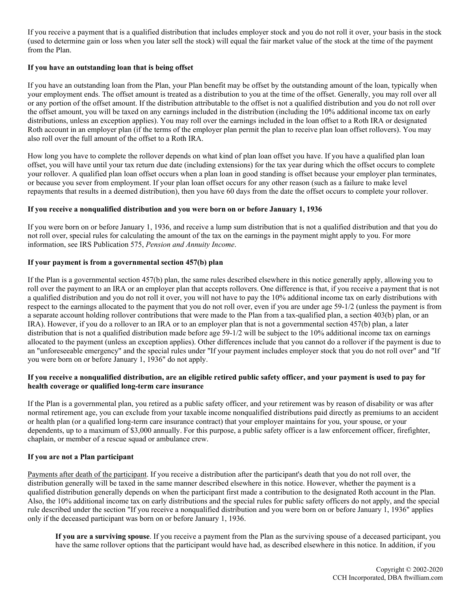If you receive a payment that is a qualified distribution that includes employer stock and you do not roll it over, your basis in the stock (used to determine gain or loss when you later sell the stock) will equal the fair market value of the stock at the time of the payment from the Plan.

# **If you have an outstanding loan that is being offset**

If you have an outstanding loan from the Plan, your Plan benefit may be offset by the outstanding amount of the loan, typically when your employment ends. The offset amount is treated as a distribution to you at the time of the offset. Generally, you may roll over all or any portion of the offset amount. If the distribution attributable to the offset is not a qualified distribution and you do not roll over the offset amount, you will be taxed on any earnings included in the distribution (including the 10% additional income tax on early distributions, unless an exception applies). You may roll over the earnings included in the loan offset to a Roth IRA or designated Roth account in an employer plan (if the terms of the employer plan permit the plan to receive plan loan offset rollovers). You may also roll over the full amount of the offset to a Roth IRA.

How long you have to complete the rollover depends on what kind of plan loan offset you have. If you have a qualified plan loan offset, you will have until your tax return due date (including extensions) for the tax year during which the offset occurs to complete your rollover. A qualified plan loan offset occurs when a plan loan in good standing is offset because your employer plan terminates, or because you sever from employment. If your plan loan offset occurs for any other reason (such as a failure to make level repayments that results in a deemed distribution), then you have 60 days from the date the offset occurs to complete your rollover.

## **If you receive a nonqualified distribution and you were born on or before January 1, 1936**

If you were born on or before January 1, 1936, and receive a lump sum distribution that is not a qualified distribution and that you do not roll over, special rules for calculating the amount of the tax on the earnings in the payment might apply to you. For more information, see IRS Publication 575, *Pension and Annuity Income*.

# **If your payment is from a governmental section 457(b) plan**

If the Plan is a governmental section 457(b) plan, the same rules described elsewhere in this notice generally apply, allowing you to roll over the payment to an IRA or an employer plan that accepts rollovers. One difference is that, if you receive a payment that is not a qualified distribution and you do not roll it over, you will not have to pay the 10% additional income tax on early distributions with respect to the earnings allocated to the payment that you do not roll over, even if you are under age 59-1/2 (unless the payment is from a separate account holding rollover contributions that were made to the Plan from a tax-qualified plan, a section 403(b) plan, or an IRA). However, if you do a rollover to an IRA or to an employer plan that is not a governmental section 457(b) plan, a later distribution that is not a qualified distribution made before age 59-1/2 will be subject to the 10% additional income tax on earnings allocated to the payment (unless an exception applies). Other differences include that you cannot do a rollover if the payment is due to an "unforeseeable emergency" and the special rules under "If your payment includes employer stock that you do not roll over" and "If you were born on or before January 1, 1936" do not apply.

## **If you receive a nonqualified distribution, are an eligible retired public safety officer, and your payment is used to pay for health coverage or qualified long-term care insurance**

If the Plan is a governmental plan, you retired as a public safety officer, and your retirement was by reason of disability or was after normal retirement age, you can exclude from your taxable income nonqualified distributions paid directly as premiums to an accident or health plan (or a qualified long-term care insurance contract) that your employer maintains for you, your spouse, or your dependents, up to a maximum of \$3,000 annually. For this purpose, a public safety officer is a law enforcement officer, firefighter, chaplain, or member of a rescue squad or ambulance crew.

# **If you are not a Plan participant**

Payments after death of the participant. If you receive a distribution after the participant's death that you do not roll over, the distribution generally will be taxed in the same manner described elsewhere in this notice. However, whether the payment is a qualified distribution generally depends on when the participant first made a contribution to the designated Roth account in the Plan. Also, the 10% additional income tax on early distributions and the special rules for public safety officers do not apply, and the special rule described under the section "If you receive a nonqualified distribution and you were born on or before January 1, 1936" applies only if the deceased participant was born on or before January 1, 1936.

**If you are a surviving spouse**. If you receive a payment from the Plan as the surviving spouse of a deceased participant, you have the same rollover options that the participant would have had, as described elsewhere in this notice. In addition, if you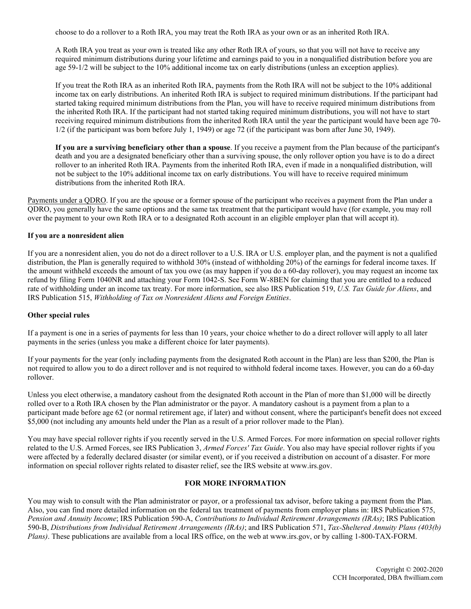choose to do a rollover to a Roth IRA, you may treat the Roth IRA as your own or as an inherited Roth IRA.

A Roth IRA you treat as your own is treated like any other Roth IRA of yours, so that you will not have to receive any required minimum distributions during your lifetime and earnings paid to you in a nonqualified distribution before you are age 59-1/2 will be subject to the 10% additional income tax on early distributions (unless an exception applies).

If you treat the Roth IRA as an inherited Roth IRA, payments from the Roth IRA will not be subject to the 10% additional income tax on early distributions. An inherited Roth IRA is subject to required minimum distributions. If the participant had started taking required minimum distributions from the Plan, you will have to receive required minimum distributions from the inherited Roth IRA. If the participant had not started taking required minimum distributions, you will not have to start receiving required minimum distributions from the inherited Roth IRA until the year the participant would have been age 70- 1/2 (if the participant was born before July 1, 1949) or age 72 (if the participant was born after June 30, 1949).

**If you are a surviving beneficiary other than a spouse**. If you receive a payment from the Plan because of the participant's death and you are a designated beneficiary other than a surviving spouse, the only rollover option you have is to do a direct rollover to an inherited Roth IRA. Payments from the inherited Roth IRA, even if made in a nonqualified distribution, will not be subject to the 10% additional income tax on early distributions. You will have to receive required minimum distributions from the inherited Roth IRA.

Payments under a QDRO. If you are the spouse or a former spouse of the participant who receives a payment from the Plan under a QDRO, you generally have the same options and the same tax treatment that the participant would have (for example, you may roll over the payment to your own Roth IRA or to a designated Roth account in an eligible employer plan that will accept it).

#### **If you are a nonresident alien**

If you are a nonresident alien, you do not do a direct rollover to a U.S. IRA or U.S. employer plan, and the payment is not a qualified distribution, the Plan is generally required to withhold 30% (instead of withholding 20%) of the earnings for federal income taxes. If the amount withheld exceeds the amount of tax you owe (as may happen if you do a 60-day rollover), you may request an income tax refund by filing Form 1040NR and attaching your Form 1042-S. See Form W-8BEN for claiming that you are entitled to a reduced rate of withholding under an income tax treaty. For more information, see also IRS Publication 519, *U.S. Tax Guide for Aliens*, and IRS Publication 515, *Withholding of Tax on Nonresident Aliens and Foreign Entities*.

## **Other special rules**

If a payment is one in a series of payments for less than 10 years, your choice whether to do a direct rollover will apply to all later payments in the series (unless you make a different choice for later payments).

If your payments for the year (only including payments from the designated Roth account in the Plan) are less than \$200, the Plan is not required to allow you to do a direct rollover and is not required to withhold federal income taxes. However, you can do a 60-day rollover.

Unless you elect otherwise, a mandatory cashout from the designated Roth account in the Plan of more than \$1,000 will be directly rolled over to a Roth IRA chosen by the Plan administrator or the payor. A mandatory cashout is a payment from a plan to a participant made before age 62 (or normal retirement age, if later) and without consent, where the participant's benefit does not exceed \$5,000 (not including any amounts held under the Plan as a result of a prior rollover made to the Plan).

You may have special rollover rights if you recently served in the U.S. Armed Forces. For more information on special rollover rights related to the U.S. Armed Forces, see IRS Publication 3, *Armed Forces' Tax Guide*. You also may have special rollover rights if you were affected by a federally declared disaster (or similar event), or if you received a distribution on account of a disaster. For more information on special rollover rights related to disaster relief, see the IRS website at www.irs.gov.

## **FOR MORE INFORMATION**

You may wish to consult with the Plan administrator or payor, or a professional tax advisor, before taking a payment from the Plan. Also, you can find more detailed information on the federal tax treatment of payments from employer plans in: IRS Publication 575, *Pension and Annuity Income*; IRS Publication 590-A, *Contributions to Individual Retirement Arrangements (IRAs)*; IRS Publication 590-B, *Distributions from Individual Retirement Arrangements (IRAs)*; and IRS Publication 571, *Tax-Sheltered Annuity Plans (403(b) Plans)*. These publications are available from a local IRS office, on the web at www.irs.gov, or by calling 1-800-TAX-FORM.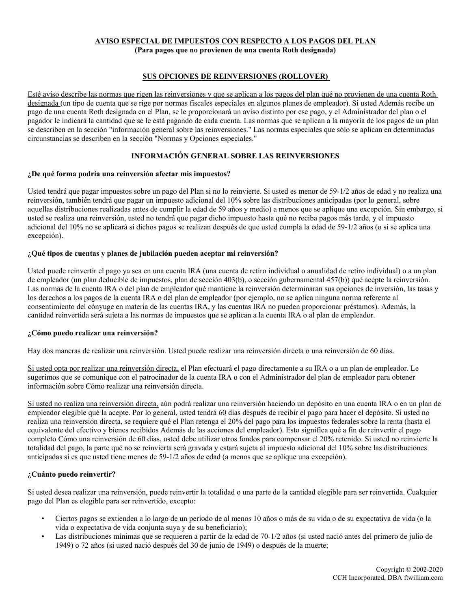### **AVISO ESPECIAL DE IMPUESTOS CON RESPECTO A LOS PAGOS DEL PLAN (Para pagos que no provienen de una cuenta Roth designada)**

# **SUS OPCIONES DE REINVERSIONES (ROLLOVER)**

Esté aviso describe las normas que rigen las reinversiones y que se aplican a los pagos del plan qué no provienen de una cuenta Roth designada (un tipo de cuenta que se rige por normas fiscales especiales en algunos planes de empleador). Si usted Además recibe un pago de una cuenta Roth designada en el Plan, se le proporcionará un aviso distinto por ese pago, y el Administrador del plan o el pagador le indicará la cantidad que se le está pagando de cada cuenta. Las normas que se aplican a la mayoría de los pagos de un plan se describen en la sección "información general sobre las reinversiones." Las normas especiales que sólo se aplican en determinadas circunstancias se describen en la sección "Normas y Opciones especiales."

## **INFORMACIÓN GENERAL SOBRE LAS REINVERSIONES**

### **¿De qué forma podría una reinversión afectar mis impuestos?**

Usted tendrá que pagar impuestos sobre un pago del Plan si no lo reinvierte. Si usted es menor de 59-1/2 años de edad y no realiza una reinversión, también tendrá que pagar un impuesto adicional del 10% sobre las distribuciones anticipadas (por lo general, sobre aquellas distribuciones realizadas antes de cumplir la edad de 59 años y medio) a menos que se aplique una excepción. Sin embargo, si usted se realiza una reinversión, usted no tendrá que pagar dicho impuesto hasta qué no reciba pagos más tarde, y el impuesto adicional del 10% no se aplicará si dichos pagos se realizan después de que usted cumpla la edad de 59-1/2 años (o si se aplica una excepción).

### **¿Qué tipos de cuentas y planes de jubilación pueden aceptar mi reinversión?**

Usted puede reinvertir el pago ya sea en una cuenta IRA (una cuenta de retiro individual o anualidad de retiro individual) o a un plan de empleador (un plan deducible de impuestos, plan de sección 403(b), o sección gubernamental 457(b)) qué acepte la reinversión. Las normas de la cuenta IRA o del plan de empleador qué mantiene la reinversión determinaran sus opciones de inversión, las tasas y los derechos a los pagos de la cuenta IRA o del plan de empleador (por ejemplo, no se aplica ninguna norma referente al consentimiento del cónyuge en materia de las cuentas IRA, y las cuentas IRA no pueden proporcionar préstamos). Además, la cantidad reinvertida será sujeta a las normas de impuestos que se aplican a la cuenta IRA o al plan de empleador.

#### **¿Cómo puedo realizar una reinversión?**

Hay dos maneras de realizar una reinversión. Usted puede realizar una reinversión directa o una reinversión de 60 días.

Si usted opta por realizar una reinversión directa, el Plan efectuará el pago directamente a su IRA o a un plan de empleador. Le sugerimos que se comunique con el patrocinador de la cuenta IRA o con el Administrador del plan de empleador para obtener información sobre Cómo realizar una reinversión directa.

Si usted no realiza una reinversión directa, aún podrá realizar una reinversión haciendo un depósito en una cuenta IRA o en un plan de empleador elegible qué la acepte. Por lo general, usted tendrá 60 días después de recibir el pago para hacer el depósito. Si usted no realiza una reinversión directa, se requiere qué el Plan retenga el 20% del pago para los impuestos federales sobre la renta (hasta el equivalente del efectivo y bienes recibidos Además de las acciones del empleador). Esto significa qué a fin de reinvertir el pago completo Cómo una reinversión de 60 días, usted debe utilizar otros fondos para compensar el 20% retenido. Si usted no reinvierte la totalidad del pago, la parte qué no se reinvierta será gravada y estará sujeta al impuesto adicional del 10% sobre las distribuciones anticipadas si es que usted tiene menos de 59-1/2 años de edad (a menos que se aplique una excepción).

## **¿Cuánto puedo reinvertir?**

Si usted desea realizar una reinversión, puede reinvertir la totalidad o una parte de la cantidad elegible para ser reinvertida. Cualquier pago del Plan es elegible para ser reinvertido, excepto:

- Ciertos pagos se extienden a lo largo de un período de al menos 10 años o más de su vida o de su expectativa de vida (o la vida o expectativa de vida conjunta suya y de su beneficiario);
- Las distribuciones mínimas que se requieren a partir de la edad de 70-1/2 años (si usted nació antes del primero de julio de 1949) o 72 años (si usted nació después del 30 de junio de 1949) o después de la muerte;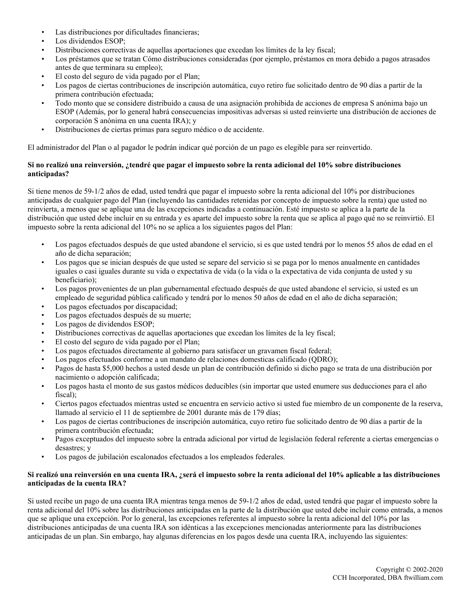- Las distribuciones por dificultades financieras;
- Los dividendos ESOP:
- Distribuciones correctivas de aquellas aportaciones que excedan los límites de la ley fiscal;
- Los préstamos que se tratan Cómo distribuciones consideradas (por ejemplo, préstamos en mora debido a pagos atrasados antes de que terminara su empleo);
- El costo del seguro de vida pagado por el Plan;
- Los pagos de ciertas contribuciones de inscripción automática, cuyo retiro fue solicitado dentro de 90 días a partir de la primera contribución efectuada;
- Todo monto que se considere distribuido a causa de una asignación prohibida de acciones de empresa S anónima bajo un ESOP (Además, por lo general habrá consecuencias impositivas adversas si usted reinvierte una distribución de acciones de corporación S anónima en una cuenta IRA); y
- Distribuciones de ciertas primas para seguro médico o de accidente.

El administrador del Plan o al pagador le podrán indicar qué porción de un pago es elegible para ser reinvertido.

# **Si no realizó una reinversión, ¿tendré que pagar el impuesto sobre la renta adicional del 10% sobre distribuciones anticipadas?**

Si tiene menos de 59-1/2 años de edad, usted tendrá que pagar el impuesto sobre la renta adicional del 10% por distribuciones anticipadas de cualquier pago del Plan (incluyendo las cantidades retenidas por concepto de impuesto sobre la renta) que usted no reinvierta, a menos que se aplique una de las excepciones indicadas a continuación. Esté impuesto se aplica a la parte de la distribución que usted debe incluir en su entrada y es aparte del impuesto sobre la renta que se aplica al pago qué no se reinvirtió. El impuesto sobre la renta adicional del 10% no se aplica a los siguientes pagos del Plan:

- Los pagos efectuados después de que usted abandone el servicio, si es que usted tendrá por lo menos 55 años de edad en el año de dicha separación;
- Los pagos que se inician después de que usted se separe del servicio si se paga por lo menos anualmente en cantidades iguales o casi iguales durante su vida o expectativa de vida (o la vida o la expectativa de vida conjunta de usted y su beneficiario);
- Los pagos provenientes de un plan gubernamental efectuado después de que usted abandone el servicio, si usted es un empleado de seguridad pública calificado y tendrá por lo menos 50 años de edad en el año de dicha separación;
- Los pagos efectuados por discapacidad;
- Los pagos efectuados después de su muerte;
- Los pagos de dividendos ESOP;
- Distribuciones correctivas de aquellas aportaciones que excedan los límites de la ley fiscal;
- El costo del seguro de vida pagado por el Plan;
- Los pagos efectuados directamente al gobierno para satisfacer un gravamen fiscal federal;
- Los pagos efectuados conforme a un mandato de relaciones domesticas calificado (QDRO);
- Pagos de hasta \$5,000 hechos a usted desde un plan de contribución definido si dicho pago se trata de una distribución por nacimiento o adopción calificada;
- Los pagos hasta el monto de sus gastos médicos deducibles (sin importar que usted enumere sus deducciones para el año fiscal);
- Ciertos pagos efectuados mientras usted se encuentra en servicio activo si usted fue miembro de un componente de la reserva, llamado al servicio el 11 de septiembre de 2001 durante más de 179 días;
- Los pagos de ciertas contribuciones de inscripción automática, cuyo retiro fue solicitado dentro de 90 días a partir de la primera contribución efectuada;
- Pagos exceptuados del impuesto sobre la entrada adicional por virtud de legislación federal referente a ciertas emergencias o desastres; y
- Los pagos de jubilación escalonados efectuados a los empleados federales.

### **Si realizó una reinversión en una cuenta IRA, ¿será el impuesto sobre la renta adicional del 10% aplicable a las distribuciones anticipadas de la cuenta IRA?**

Si usted recibe un pago de una cuenta IRA mientras tenga menos de 59-1/2 años de edad, usted tendrá que pagar el impuesto sobre la renta adicional del 10% sobre las distribuciones anticipadas en la parte de la distribución que usted debe incluir como entrada, a menos que se aplique una excepción. Por lo general, las excepciones referentes al impuesto sobre la renta adicional del 10% por las distribuciones anticipadas de una cuenta IRA son idénticas a las excepciones mencionadas anteriormente para las distribuciones anticipadas de un plan. Sin embargo, hay algunas diferencias en los pagos desde una cuenta IRA, incluyendo las siguientes: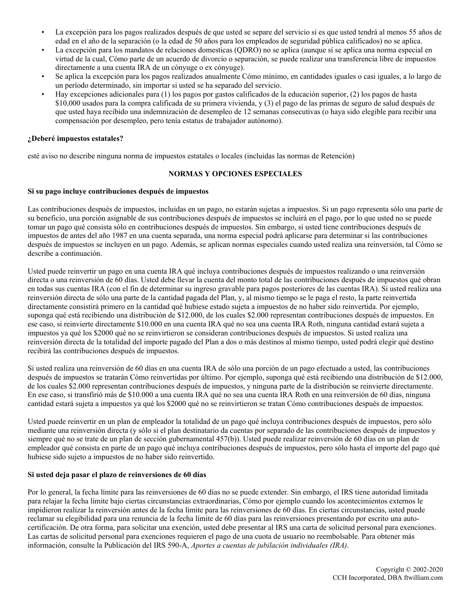- La excepción para los pagos realizados después de que usted se separe del servicio si es que usted tendrá al menos 55 años de edad en el año de la separación (o la edad de 50 años para los empleados de seguridad pública calificados) no se aplica.
- La excepción para los mandatos de relaciones domesticas (QDRO) no se aplica (aunque sí se aplica una norma especial en virtud de la cual, Cómo parte de un acuerdo de divorcio o separación, se puede realizar una transferencia libre de impuestos directamente a una cuenta IRA de un cónyuge o ex cónyuge).
- Se aplica la excepción para los pagos realizados anualmente Cómo mínimo, en cantidades iguales o casi iguales, a lo largo de un período determinado, sin importar si usted se ha separado del servicio.
- Hay excepciones adicionales para (1) los pagos por gastos calificados de la educación superior, (2) los pagos de hasta \$10,000 usados para la compra calificada de su primera vivienda, y (3) el pago de las primas de seguro de salud después de que usted haya recibido una indemnización de desempleo de 12 semanas consecutivas (o haya sido elegible para recibir una compensación por desempleo, pero tenía estatus de trabajador autónomo).

### **¿Deberé impuestos estatales?**

esté aviso no describe ninguna norma de impuestos estatales o locales (incluidas las normas de Retención)

# **NORMAS Y OPCIONES ESPECIALES**

### **Si su pago incluye contribuciones después de impuestos**

Las contribuciones después de impuestos, incluidas en un pago, no estarán sujetas a impuestos. Si un pago representa sólo una parte de su beneficio, una porción asignable de sus contribuciones después de impuestos se incluirá en el pago, por lo que usted no se puede tomar un pago qué consista sólo en contribuciones después de impuestos. Sin embargo, si usted tiene contribuciones después de impuestos de antes del año 1987 en una cuenta separada, una norma especial podrá aplicarse para determinar si las contribuciones después de impuestos se incluyen en un pago. Además, se aplican normas especiales cuando usted realiza una reinversión, tal Cómo se describe a continuación.

Usted puede reinvertir un pago en una cuenta IRA qué incluya contribuciones después de impuestos realizando o una reinversión directa o una reinversión de 60 días. Usted debe llevar la cuenta del monto total de las contribuciones después de impuestos qué obran en todas sus cuentas IRA (con el fin de determinar su ingreso gravable para pagos posteriores de las cuentas IRA). Si usted realiza una reinversión directa de sólo una parte de la cantidad pagada del Plan, y, al mismo tiempo se le paga el resto, la parte reinvertida directamente consistirá primero en la cantidad qué hubiese estado sujeta a impuestos de no haber sido reinvertida. Por ejemplo, suponga qué está recibiendo una distribución de \$12.000, de los cuales \$2.000 representan contribuciones después de impuestos. En ese caso, si reinvierte directamente \$10.000 en una cuenta IRA qué no sea una cuenta IRA Roth, ninguna cantidad estará sujeta a impuestos ya qué los \$2000 qué no se reinvirtieron se consideran contribuciones después de impuestos. Si usted realiza una reinversión directa de la totalidad del importe pagado del Plan a dos o más destinos al mismo tiempo, usted podrá elegir qué destino recibirá las contribuciones después de impuestos.

Si usted realiza una reinversión de 60 días en una cuenta IRA de sólo una porción de un pago efectuado a usted, las contribuciones después de impuestos se tratarán Cómo reinvertidas por último. Por ejemplo, suponga qué está recibiendo una distribución de \$12.000, de los cuales \$2.000 representan contribuciones después de impuestos, y ninguna parte de la distribución se reinvierte directamente. En ese caso, si transfirió más de \$10.000 a una cuenta IRA qué no sea una cuenta IRA Roth en una reinversión de 60 días, ninguna cantidad estará sujeta a impuestos ya qué los \$2000 qué no se reinvirtieron se tratan Cómo contribuciones después de impuestos.

Usted puede reinvertir en un plan de empleador la totalidad de un pago qué incluya contribuciones después de impuestos, pero sólo mediante una reinversión directa (y sólo si el plan destinatario da cuentas por separado de las contribuciones después de impuestos y siempre qué no se trate de un plan de sección gubernamental 457(b)). Usted puede realizar reinversión de 60 días en un plan de empleador qué consista en parte de un pago qué incluya contribuciones después de impuestos, pero sólo hasta el importe del pago qué hubiese sido sujeto a impuestos de no haber sido reinvertido.

## **Si usted deja pasar el plazo de reinversiones de 60 días**

Por lo general, la fecha límite para las reinversiones de 60 días no se puede extender. Sin embargo, el IRS tiene autoridad limitada para relajar la fecha límite bajo ciertas circunstancias extraordinarias, Cómo por ejemplo cuando los acontecimientos externos le impidieron realizar la reinversión antes de la fecha límite para las reinversiones de 60 días. En ciertas circunstancias, usted puede reclamar su elegibilidad para una renuncia de la fecha límite de 60 días para las reinversiones presentando por escrito una autocertificación. De otra forma, para solicitar una exención, usted debe presentar al IRS una carta de solicitud personal para exenciones. Las cartas de solicitud personal para exenciones requieren el pago de una cuota de usuario no reembolsable. Para obtener más información, consulte la Publicación del IRS 590-A, *Aportes a cuentas de jubilación individuales (IRA)*.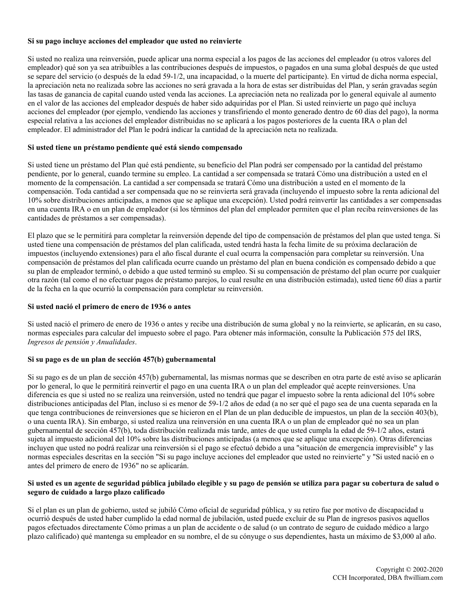### **Si su pago incluye acciones del empleador que usted no reinvierte**

Si usted no realiza una reinversión, puede aplicar una norma especial a los pagos de las acciones del empleador (u otros valores del empleador) qué son ya sea atribuibles a las contribuciones después de impuestos, o pagados en una suma global después de que usted se separe del servicio (o después de la edad 59-1/2, una incapacidad, o la muerte del participante). En virtud de dicha norma especial, la apreciación neta no realizada sobre las acciones no será gravada a la hora de estas ser distribuidas del Plan, y serán gravadas según las tasas de ganancia de capital cuando usted venda las acciones. La apreciación neta no realizada por lo general equivale al aumento en el valor de las acciones del empleador después de haber sido adquiridas por el Plan. Si usted reinvierte un pago qué incluya acciones del empleador (por ejemplo, vendiendo las acciones y transfiriendo el monto generado dentro de 60 días del pago), la norma especial relativa a las acciones del empleador distribuidas no se aplicará a los pagos posteriores de la cuenta IRA o plan del empleador. El administrador del Plan le podrá indicar la cantidad de la apreciación neta no realizada.

### **Si usted tiene un préstamo pendiente qué está siendo compensado**

Si usted tiene un préstamo del Plan qué está pendiente, su beneficio del Plan podrá ser compensado por la cantidad del préstamo pendiente, por lo general, cuando termine su empleo. La cantidad a ser compensada se tratará Cómo una distribución a usted en el momento de la compensación. La cantidad a ser compensada se tratará Cómo una distribución a usted en el momento de la compensación. Toda cantidad a ser compensada que no se reinvierta será gravada (incluyendo el impuesto sobre la renta adicional del 10% sobre distribuciones anticipadas, a menos que se aplique una excepción). Usted podrá reinvertir las cantidades a ser compensadas en una cuenta IRA o en un plan de empleador (si los términos del plan del empleador permiten que el plan reciba reinversiones de las cantidades de préstamos a ser compensadas).

El plazo que se le permitirá para completar la reinversión depende del tipo de compensación de préstamos del plan que usted tenga. Si usted tiene una compensación de préstamos del plan calificada, usted tendrá hasta la fecha lìmite de su próxima declaración de impuestos (incluyendo extensiones) para el año fiscal durante el cual ocurra la compensación para completar su reinversión. Una compensación de préstamos del plan calificada ocurre cuando un préstamo del plan en buena condición es compensado debido a que su plan de empleador terminó, o debido a que usted terminó su empleo. Si su compensación de préstamo del plan ocurre por cualquier otra razón (tal como el no efectuar pagos de préstamo parejos, lo cual resulte en una distribución estimada), usted tiene 60 días a partir de la fecha en la que ocurrió la compensación para completar su reinversión.

#### **Si usted nació el primero de enero de 1936 o antes**

Si usted nació el primero de enero de 1936 o antes y recibe una distribución de suma global y no la reinvierte, se aplicarán, en su caso, normas especiales para calcular del impuesto sobre el pago. Para obtener más información, consulte la Publicación 575 del IRS, *Ingresos de pensión y Anualidades*.

# **Si su pago es de un plan de sección 457(b) gubernamental**

Si su pago es de un plan de sección 457(b) gubernamental, las mismas normas que se describen en otra parte de esté aviso se aplicarán por lo general, lo que le permitirá reinvertir el pago en una cuenta IRA o un plan del empleador qué acepte reinversiones. Una diferencia es que si usted no se realiza una reinversión, usted no tendrá que pagar el impuesto sobre la renta adicional del 10% sobre distribuciones anticipadas del Plan, incluso si es menor de 59-1/2 años de edad (a no ser qué el pago sea de una cuenta separada en la que tenga contribuciones de reinversiones que se hicieron en el Plan de un plan deducible de impuestos, un plan de la sección 403(b), o una cuenta IRA). Sin embargo, si usted realiza una reinversión en una cuenta IRA o un plan de empleador qué no sea un plan gubernamental de sección 457(b), toda distribución realizada más tarde, antes de que usted cumpla la edad de 59-1/2 años, estará sujeta al impuesto adicional del 10% sobre las distribuciones anticipadas (a menos que se aplique una excepción). Otras diferencias incluyen que usted no podrá realizar una reinversión si el pago se efectuó debido a una "situación de emergencia imprevisible" y las normas especiales descritas en la sección "Si su pago incluye acciones del empleador que usted no reinvierte" y "Si usted nació en o antes del primero de enero de 1936" no se aplicarán.

### **Si usted es un agente de seguridad pública jubilado elegible y su pago de pensión se utiliza para pagar su cobertura de salud o seguro de cuidado a largo plazo calificado**

Si el plan es un plan de gobierno, usted se jubiló Cómo oficial de seguridad pública, y su retiro fue por motivo de discapacidad u ocurrió después de usted haber cumplido la edad normal de jubilación, usted puede excluir de su Plan de ingresos pasivos aquellos pagos efectuados directamente Cómo primas a un plan de accidente o de salud (o un contrato de seguro de cuidado médico a largo plazo calificado) qué mantenga su empleador en su nombre, el de su cónyuge o sus dependientes, hasta un máximo de \$3,000 al año.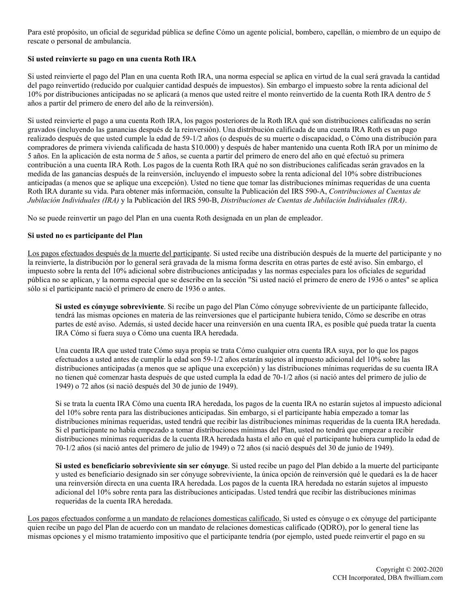Para esté propósito, un oficial de seguridad pública se define Cómo un agente policial, bombero, capellán, o miembro de un equipo de rescate o personal de ambulancia.

### **Si usted reinvierte su pago en una cuenta Roth IRA**

Si usted reinvierte el pago del Plan en una cuenta Roth IRA, una norma especial se aplica en virtud de la cual será gravada la cantidad del pago reinvertido (reducido por cualquier cantidad después de impuestos). Sin embargo el impuesto sobre la renta adicional del 10% por distribuciones anticipadas no se aplicará (a menos que usted reitre el monto reinvertido de la cuenta Roth IRA dentro de 5 años a partir del primero de enero del año de la reinversión).

Si usted reinvierte el pago a una cuenta Roth IRA, los pagos posteriores de la Roth IRA qué son distribuciones calificadas no serán gravados (incluyendo las ganancias después de la reinversión). Una distribución calificada de una cuenta IRA Roth es un pago realizado después de que usted cumple la edad de 59-1/2 años (o después de su muerte o discapacidad, o Cómo una distribución para compradores de primera vivienda calificada de hasta \$10.000) y después de haber mantenido una cuenta Roth IRA por un mínimo de 5 años. En la aplicación de esta norma de 5 años, se cuenta a partir del primero de enero del año en qué efectuó su primera contribución a una cuenta IRA Roth. Los pagos de la cuenta Roth IRA qué no son distribuciones calificadas serán gravados en la medida de las ganancias después de la reinversión, incluyendo el impuesto sobre la renta adicional del 10% sobre distribuciones anticipadas (a menos que se aplique una excepción). Usted no tiene que tomar las distribuciones mínimas requeridas de una cuenta Roth IRA durante su vida. Para obtener más información, consulte la Publicación del IRS 590-A, *Contribuciones al Cuentas de Jubilación Individuales (IRA)* y la Publicación del IRS 590-B, *Distribuciones de Cuentas de Jubilación Individuales (IRA)*.

No se puede reinvertir un pago del Plan en una cuenta Roth designada en un plan de empleador.

### **Si usted no es participante del Plan**

Los pagos efectuados después de la muerte del participante. Si usted recibe una distribución después de la muerte del participante y no la reinvierte, la distribución por lo general será gravada de la misma forma descrita en otras partes de esté aviso. Sin embargo, el impuesto sobre la renta del 10% adicional sobre distribuciones anticipadas y las normas especiales para los oficiales de seguridad pública no se aplican, y la norma especial que se describe en la sección "Si usted nació el primero de enero de 1936 o antes" se aplica sólo si el participante nació el primero de enero de 1936 o antes.

**Si usted es cónyuge sobreviviente**. Si recibe un pago del Plan Cómo cónyuge sobreviviente de un participante fallecido, tendrá las mismas opciones en materia de las reinversiones que el participante hubiera tenido, Cómo se describe en otras partes de esté aviso. Además, si usted decide hacer una reinversión en una cuenta IRA, es posible qué pueda tratar la cuenta IRA Cómo si fuera suya o Cómo una cuenta IRA heredada.

Una cuenta IRA que usted trate Cómo suya propia se trata Cómo cualquier otra cuenta IRA suya, por lo que los pagos efectuados a usted antes de cumplir la edad son 59-1/2 años estarán sujetos al impuesto adicional del 10% sobre las distribuciones anticipadas (a menos que se aplique una excepción) y las distribuciones mínimas requeridas de su cuenta IRA no tienen qué comenzar hasta después de que usted cumpla la edad de 70-1/2 años (si nació antes del primero de julio de 1949) o 72 años (si nació después del 30 de junio de 1949).

Si se trata la cuenta IRA Cómo una cuenta IRA heredada, los pagos de la cuenta IRA no estarán sujetos al impuesto adicional del 10% sobre renta para las distribuciones anticipadas. Sin embargo, si el participante había empezado a tomar las distribuciones mínimas requeridas, usted tendrá que recibir las distribuciones mínimas requeridas de la cuenta IRA heredada. Si el participante no había empezado a tomar distribuciones mínimas del Plan, usted no tendrá que empezar a recibir distribuciones mínimas requeridas de la cuenta IRA heredada hasta el año en qué el participante hubiera cumplido la edad de 70-1/2 años (si nació antes del primero de julio de 1949) o 72 años (si nació después del 30 de junio de 1949).

**Si usted es beneficiario sobreviviente sin ser cónyuge**. Si usted recibe un pago del Plan debido a la muerte del participante y usted es beneficiario designado sin ser cónyuge sobreviviente, la única opción de reinversión qué le quedará es la de hacer una reinversión directa en una cuenta IRA heredada. Los pagos de la cuenta IRA heredada no estarán sujetos al impuesto adicional del 10% sobre renta para las distribuciones anticipadas. Usted tendrá que recibir las distribuciones mínimas requeridas de la cuenta IRA heredada.

Los pagos efectuados conforme a un mandato de relaciones domesticas calificado. Si usted es cónyuge o ex cónyuge del participante quien recibe un pago del Plan de acuerdo con un mandato de relaciones domesticas calificado (QDRO), por lo general tiene las mismas opciones y el mismo tratamiento impositivo que el participante tendría (por ejemplo, usted puede reinvertir el pago en su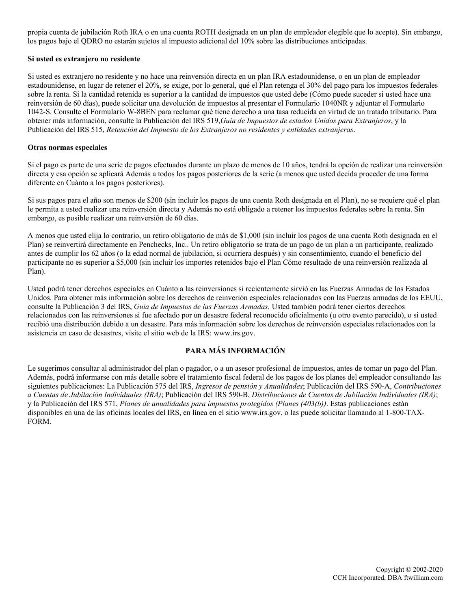propia cuenta de jubilación Roth IRA o en una cuenta ROTH designada en un plan de empleador elegible que lo acepte). Sin embargo, los pagos bajo el QDRO no estarán sujetos al impuesto adicional del 10% sobre las distribuciones anticipadas.

### **Si usted es extranjero no residente**

Si usted es extranjero no residente y no hace una reinversión directa en un plan IRA estadounidense, o en un plan de empleador estadounidense, en lugar de retener el 20%, se exige, por lo general, qué el Plan retenga el 30% del pago para los impuestos federales sobre la renta. Si la cantidad retenida es superior a la cantidad de impuestos que usted debe (Cómo puede suceder si usted hace una reinversión de 60 días), puede solicitar una devolución de impuestos al presentar el Formulario 1040NR y adjuntar el Formulario 1042-S. Consulte el Formulario W-8BEN para reclamar qué tiene derecho a una tasa reducida en virtud de un tratado tributario. Para obtener más información, consulte la Publicación del IRS 519,*Guía de Impuestos de estados Unidos para Extranjeros*, y la Publicación del IRS 515, *Retención del Impuesto de los Extranjeros no residentes y entidades extranjeras*.

#### **Otras normas especiales**

Si el pago es parte de una serie de pagos efectuados durante un plazo de menos de 10 años, tendrá la opción de realizar una reinversión directa y esa opción se aplicará Además a todos los pagos posteriores de la serie (a menos que usted decida proceder de una forma diferente en Cuánto a los pagos posteriores).

Si sus pagos para el año son menos de \$200 (sin incluir los pagos de una cuenta Roth designada en el Plan), no se requiere qué el plan le permita a usted realizar una reinversión directa y Además no está obligado a retener los impuestos federales sobre la renta. Sin embargo, es posible realizar una reinversión de 60 días.

A menos que usted elija lo contrario, un retiro obligatorio de más de \$1,000 (sin incluir los pagos de una cuenta Roth designada en el Plan) se reinvertirá directamente en Penchecks, Inc.. Un retiro obligatorio se trata de un pago de un plan a un participante, realizado antes de cumplir los 62 años (o la edad normal de jubilación, si ocurriera después) y sin consentimiento, cuando el beneficio del participante no es superior a \$5,000 (sin incluir los importes retenidos bajo el Plan Cómo resultado de una reinversión realizada al Plan).

Usted podrá tener derechos especiales en Cuánto a las reinversiones si recientemente sirvió en las Fuerzas Armadas de los Estados Unidos. Para obtener más información sobre los derechos de reinverión especiales relacionados con las Fuerzas armadas de los EEUU, consulte la Publicación 3 del IRS, *Guía de Impuestos de las Fuerzas Armadas.* Usted también podrá tener ciertos derechos relacionados con las reinversiones si fue afectado por un desastre federal reconocido oficialmente (u otro evento parecido), o si usted recibió una distribución debido a un desastre. Para más información sobre los derechos de reinversión especiales relacionados con la asistencia en caso de desastres, visite el sitio web de la IRS: www.irs.gov.

# **PARA MÁS INFORMACIÓN**

Le sugerimos consultar al administrador del plan o pagador, o a un asesor profesional de impuestos, antes de tomar un pago del Plan. Además, podrá informarse con más detalle sobre el tratamiento fiscal federal de los pagos de los planes del empleador consultando las siguientes publicaciones: La Publicación 575 del IRS, *Ingresos de pensión y Anualidades*; Publicación del IRS 590-A, *Contribuciones a Cuentas de Jubilación Individuales (IRA)*; Publicación del IRS 590-B, *Distribuciones de Cuentas de Jubilación Individuales (IRA)*; y la Publicación del IRS 571, *Planes de anualidades para impuestos protegidos (Planes (403(b))*. Estas publicaciones están disponibles en una de las oficinas locales del IRS, en línea en el sitio www.irs.gov, o las puede solicitar llamando al 1-800-TAX-FORM.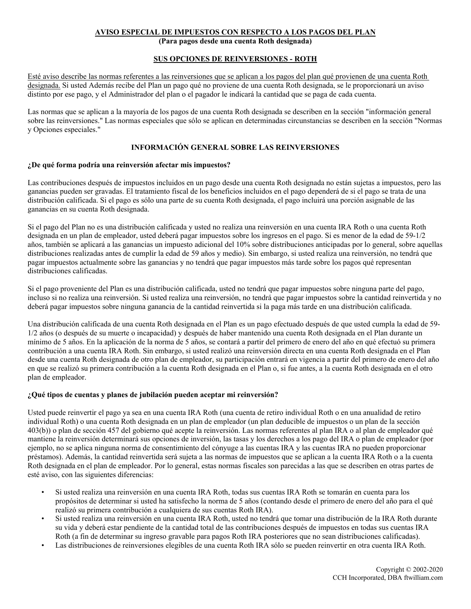# **AVISO ESPECIAL DE IMPUESTOS CON RESPECTO A LOS PAGOS DEL PLAN**

**(Para pagos desde una cuenta Roth designada)**

# **SUS OPCIONES DE REINVERSIONES - ROTH**

Esté aviso describe las normas referentes a las reinversiones que se aplican a los pagos del plan qué provienen de una cuenta Roth designada. Si usted Además recibe del Plan un pago qué no proviene de una cuenta Roth designada, se le proporcionará un aviso distinto por ese pago, y el Administrador del plan o el pagador le indicará la cantidad que se paga de cada cuenta.

Las normas que se aplican a la mayoría de los pagos de una cuenta Roth designada se describen en la sección "información general sobre las reinversiones." Las normas especiales que sólo se aplican en determinadas circunstancias se describen en la sección "Normas y Opciones especiales."

# **INFORMACIÓN GENERAL SOBRE LAS REINVERSIONES**

## **¿De qué forma podría una reinversión afectar mis impuestos?**

Las contribuciones después de impuestos incluidos en un pago desde una cuenta Roth designada no están sujetas a impuestos, pero las ganancias pueden ser gravadas. El tratamiento fiscal de los beneficios incluidos en el pago dependerá de si el pago se trata de una distribución calificada. Si el pago es sólo una parte de su cuenta Roth designada, el pago incluirá una porción asignable de las ganancias en su cuenta Roth designada.

Si el pago del Plan no es una distribución calificada y usted no realiza una reinversión en una cuenta IRA Roth o una cuenta Roth designada en un plan de empleador, usted deberá pagar impuestos sobre los ingresos en el pago. Si es menor de la edad de 59-1/2 años, también se aplicará a las ganancias un impuesto adicional del 10% sobre distribuciones anticipadas por lo general, sobre aquellas distribuciones realizadas antes de cumplir la edad de 59 años y medio). Sin embargo, si usted realiza una reinversión, no tendrá que pagar impuestos actualmente sobre las ganancias y no tendrá que pagar impuestos más tarde sobre los pagos qué representan distribuciones calificadas.

Si el pago proveniente del Plan es una distribución calificada, usted no tendrá que pagar impuestos sobre ninguna parte del pago, incluso si no realiza una reinversión. Si usted realiza una reinversión, no tendrá que pagar impuestos sobre la cantidad reinvertida y no deberá pagar impuestos sobre ninguna ganancia de la cantidad reinvertida si la paga más tarde en una distribución calificada.

Una distribución calificada de una cuenta Roth designada en el Plan es un pago efectuado después de que usted cumpla la edad de 59- 1/2 años (o después de su muerte o incapacidad) y después de haber mantenido una cuenta Roth designada en el Plan durante un mínimo de 5 años. En la aplicación de la norma de 5 años, se contará a partir del primero de enero del año en qué efectuó su primera contribución a una cuenta IRA Roth. Sin embargo, si usted realizó una reinversión directa en una cuenta Roth designada en el Plan desde una cuenta Roth designada de otro plan de empleador, su participación entrará en vigencia a partir del primero de enero del año en que se realizó su primera contribución a la cuenta Roth designada en el Plan o, si fue antes, a la cuenta Roth designada en el otro plan de empleador.

## **¿Qué tipos de cuentas y planes de jubilación pueden aceptar mi reinversión?**

Usted puede reinvertir el pago ya sea en una cuenta IRA Roth (una cuenta de retiro individual Roth o en una anualidad de retiro individual Roth) o una cuenta Roth designada en un plan de empleador (un plan deducible de impuestos o un plan de la sección 403(b)) o plan de sección 457 del gobierno qué acepte la reinversión. Las normas referentes al plan IRA o al plan de empleador qué mantiene la reinversión determinará sus opciones de inversión, las tasas y los derechos a los pago del IRA o plan de empleador (por ejemplo, no se aplica ninguna norma de consentimiento del cónyuge a las cuentas IRA y las cuentas IRA no pueden proporcionar préstamos). Además, la cantidad reinvertida será sujeta a las normas de impuestos que se aplican a la cuenta IRA Roth o a la cuenta Roth designada en el plan de empleador. Por lo general, estas normas fiscales son parecidas a las que se describen en otras partes de esté aviso, con las siguientes diferencias:

- Si usted realiza una reinversión en una cuenta IRA Roth, todas sus cuentas IRA Roth se tomarán en cuenta para los propósitos de determinar si usted ha satisfecho la norma de 5 años (contando desde el primero de enero del año para el qué realizó su primera contribución a cualquiera de sus cuentas Roth IRA).
- Si usted realiza una reinversión en una cuenta IRA Roth, usted no tendrá que tomar una distribución de la IRA Roth durante su vida y deberá estar pendiente de la cantidad total de las contribuciones después de impuestos en todas sus cuentas IRA Roth (a fin de determinar su ingreso gravable para pagos Roth IRA posteriores que no sean distribuciones calificadas).
- Las distribuciones de reinversiones elegibles de una cuenta Roth IRA sólo se pueden reinvertir en otra cuenta IRA Roth.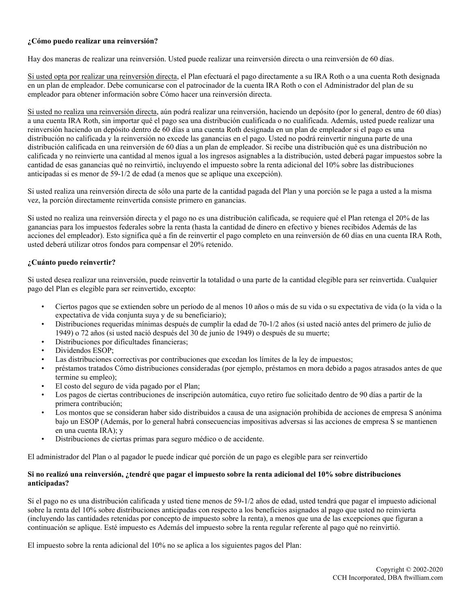# **¿Cómo puedo realizar una reinversión?**

Hay dos maneras de realizar una reinversión. Usted puede realizar una reinversión directa o una reinversión de 60 días.

Si usted opta por realizar una reinversión directa, el Plan efectuará el pago directamente a su IRA Roth o a una cuenta Roth designada en un plan de empleador. Debe comunicarse con el patrocinador de la cuenta IRA Roth o con el Administrador del plan de su empleador para obtener información sobre Cómo hacer una reinversión directa.

Si usted no realiza una reinversión directa, aún podrá realizar una reinversión, haciendo un depósito (por lo general, dentro de 60 días) a una cuenta IRA Roth, sin importar qué el pago sea una distribución cualificada o no cualificada. Además, usted puede realizar una reinversión haciendo un depósito dentro de 60 días a una cuenta Roth designada en un plan de empleador si el pago es una distribución no calificada y la reinversión no excede las ganancias en el pago. Usted no podrá reinvertir ninguna parte de una distribución calificada en una reinversión de 60 días a un plan de empleador. Si recibe una distribución qué es una distribución no calificada y no reinvierte una cantidad al menos igual a los ingresos asignables a la distribución, usted deberá pagar impuestos sobre la cantidad de esas ganancias qué no reinvirtió, incluyendo el impuesto sobre la renta adicional del 10% sobre las distribuciones anticipadas si es menor de 59-1/2 de edad (a menos que se aplique una excepción).

Si usted realiza una reinversión directa de sólo una parte de la cantidad pagada del Plan y una porción se le paga a usted a la misma vez, la porción directamente reinvertida consiste primero en ganancias.

Si usted no realiza una reinversión directa y el pago no es una distribución calificada, se requiere qué el Plan retenga el 20% de las ganancias para los impuestos federales sobre la renta (hasta la cantidad de dinero en efectivo y bienes recibidos Además de las acciones del empleador). Esto significa qué a fin de reinvertir el pago completo en una reinversión de 60 días en una cuenta IRA Roth, usted deberá utilizar otros fondos para compensar el 20% retenido.

# **¿Cuánto puedo reinvertir?**

Si usted desea realizar una reinversión, puede reinvertir la totalidad o una parte de la cantidad elegible para ser reinvertida. Cualquier pago del Plan es elegible para ser reinvertido, excepto:

- Ciertos pagos que se extienden sobre un período de al menos 10 años o más de su vida o su expectativa de vida (o la vida o la expectativa de vida conjunta suya y de su beneficiario);
- Distribuciones requeridas mínimas después de cumplir la edad de 70-1/2 años (si usted nació antes del primero de julio de 1949) o 72 años (si usted nació después del 30 de junio de 1949) o después de su muerte;
- Distribuciones por dificultades financieras;
- Dividendos ESOP;
- Las distribuciones correctivas por contribuciones que excedan los límites de la ley de impuestos;
- préstamos tratados Cómo distribuciones consideradas (por ejemplo, préstamos en mora debido a pagos atrasados antes de que termine su empleo);
- El costo del seguro de vida pagado por el Plan;
- Los pagos de ciertas contribuciones de inscripción automática, cuyo retiro fue solicitado dentro de 90 días a partir de la primera contribución;
- Los montos que se consideran haber sido distribuidos a causa de una asignación prohibida de acciones de empresa S anónima bajo un ESOP (Además, por lo general habrá consecuencias impositivas adversas si las acciones de empresa S se mantienen en una cuenta IRA); y
- Distribuciones de ciertas primas para seguro médico o de accidente.

El administrador del Plan o al pagador le puede indicar qué porción de un pago es elegible para ser reinvertido

## **Si no realizó una reinversión, ¿tendré que pagar el impuesto sobre la renta adicional del 10% sobre distribuciones anticipadas?**

Si el pago no es una distribución calificada y usted tiene menos de 59-1/2 años de edad, usted tendrá que pagar el impuesto adicional sobre la renta del 10% sobre distribuciones anticipadas con respecto a los beneficios asignados al pago que usted no reinvierta (incluyendo las cantidades retenidas por concepto de impuesto sobre la renta), a menos que una de las excepciones que figuran a continuación se aplique. Esté impuesto es Además del impuesto sobre la renta regular referente al pago qué no reinvirtió.

El impuesto sobre la renta adicional del 10% no se aplica a los siguientes pagos del Plan: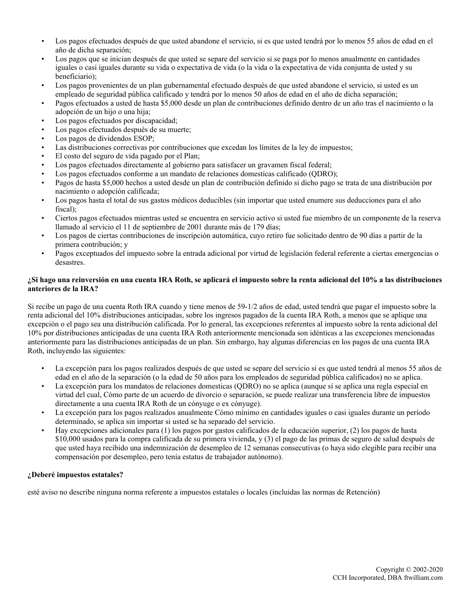- Los pagos efectuados después de que usted abandone el servicio, si es que usted tendrá por lo menos 55 años de edad en el año de dicha separación;
- Los pagos que se inician después de que usted se separe del servicio si se paga por lo menos anualmente en cantidades iguales o casi iguales durante su vida o expectativa de vida (o la vida o la expectativa de vida conjunta de usted y su beneficiario);
- Los pagos provenientes de un plan gubernamental efectuado después de que usted abandone el servicio, si usted es un empleado de seguridad pública calificado y tendrá por lo menos 50 años de edad en el año de dicha separación;
- Pagos efectuados a usted de hasta \$5,000 desde un plan de contribuciones definido dentro de un año tras el nacimiento o la adopción de un hijo o una hija;
- Los pagos efectuados por discapacidad;
- Los pagos efectuados después de su muerte;
- Los pagos de dividendos ESOP;
- Las distribuciones correctivas por contribuciones que excedan los límites de la ley de impuestos;
- El costo del seguro de vida pagado por el Plan;
- Los pagos efectuados directamente al gobierno para satisfacer un gravamen fiscal federal;
- Los pagos efectuados conforme a un mandato de relaciones domesticas calificado (QDRO);
- Pagos de hasta \$5,000 hechos a usted desde un plan de contribución definido si dicho pago se trata de una distribución por nacimiento o adopción calificada;
- Los pagos hasta el total de sus gastos médicos deducibles (sin importar que usted enumere sus deducciones para el año fiscal);
- Ciertos pagos efectuados mientras usted se encuentra en servicio activo si usted fue miembro de un componente de la reserva llamado al servicio el 11 de septiembre de 2001 durante más de 179 días;
- Los pagos de ciertas contribuciones de inscripción automática, cuyo retiro fue solicitado dentro de 90 días a partir de la primera contribución; y
- Pagos exceptuados del impuesto sobre la entrada adicional por virtud de legislación federal referente a ciertas emergencias o desastres.

## **¿Si hago una reinversión en una cuenta IRA Roth, se aplicará el impuesto sobre la renta adicional del 10% a las distribuciones anteriores de la IRA?**

Si recibe un pago de una cuenta Roth IRA cuando y tiene menos de 59-1/2 años de edad, usted tendrá que pagar el impuesto sobre la renta adicional del 10% distribuciones anticipadas, sobre los ingresos pagados de la cuenta IRA Roth, a menos que se aplique una excepción o el pago sea una distribución calificada. Por lo general, las excepciones referentes al impuesto sobre la renta adicional del 10% por distribuciones anticipadas de una cuenta IRA Roth anteriormente mencionada son idénticas a las excepciones mencionadas anteriormente para las distribuciones anticipadas de un plan. Sin embargo, hay algunas diferencias en los pagos de una cuenta IRA Roth, incluyendo las siguientes:

- La excepción para los pagos realizados después de que usted se separe del servicio si es que usted tendrá al menos 55 años de edad en el año de la separación (o la edad de 50 años para los empleados de seguridad pública calificados) no se aplica.
- La excepción para los mandatos de relaciones domesticas (QDRO) no se aplica (aunque sí se aplica una regla especial en virtud del cual, Cómo parte de un acuerdo de divorcio o separación, se puede realizar una transferencia libre de impuestos directamente a una cuenta IRA Roth de un cónyuge o ex cónyuge).
- La excepción para los pagos realizados anualmente Cómo mínimo en cantidades iguales o casi iguales durante un período determinado, se aplica sin importar si usted se ha separado del servicio.
- Hay excepciones adicionales para (1) los pagos por gastos calificados de la educación superior, (2) los pagos de hasta \$10,000 usados para la compra calificada de su primera vivienda, y (3) el pago de las primas de seguro de salud después de que usted haya recibido una indemnización de desempleo de 12 semanas consecutivas (o haya sido elegible para recibir una compensación por desempleo, pero tenía estatus de trabajador autónomo).

## **¿Deberé impuestos estatales?**

esté aviso no describe ninguna norma referente a impuestos estatales o locales (incluidas las normas de Retención)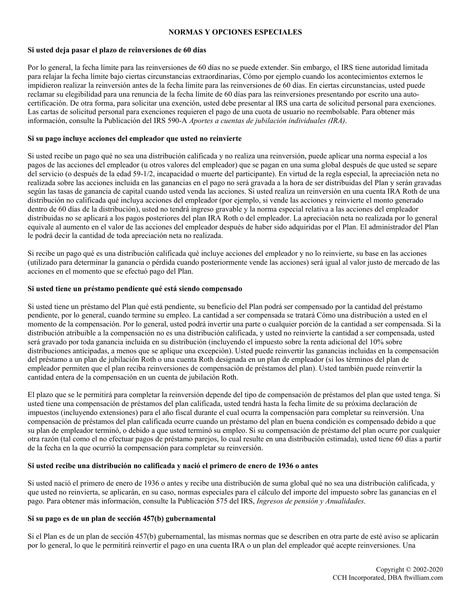### **NORMAS Y OPCIONES ESPECIALES**

### **Si usted deja pasar el plazo de reinversiones de 60 días**

Por lo general, la fecha límite para las reinversiones de 60 días no se puede extender. Sin embargo, el IRS tiene autoridad limitada para relajar la fecha límite bajo ciertas circunstancias extraordinarias, Cómo por ejemplo cuando los acontecimientos externos le impidieron realizar la reinversión antes de la fecha límite para las reinversiones de 60 días. En ciertas circunstancias, usted puede reclamar su elegibilidad para una renuncia de la fecha límite de 60 días para las reinversiones presentando por escrito una autocertificación. De otra forma, para solicitar una exención, usted debe presentar al IRS una carta de solicitud personal para exenciones. Las cartas de solicitud personal para exenciones requieren el pago de una cuota de usuario no reembolsable. Para obtener más información, consulte la Publicación del IRS 590-A *Aportes a cuentas de jubilación individuales (IRA)*.

### **Si su pago incluye acciones del empleador que usted no reinvierte**

Si usted recibe un pago qué no sea una distribución calificada y no realiza una reinversión, puede aplicar una norma especial a los pagos de las acciones del empleador (u otros valores del empleador) que se pagan en una suma global después de que usted se separe del servicio (o después de la edad 59-1/2, incapacidad o muerte del participante). En virtud de la regla especial, la apreciación neta no realizada sobre las acciones incluida en las ganancias en el pago no será gravada a la hora de ser distribuidas del Plan y serán gravadas según las tasas de ganancia de capital cuando usted venda las acciones. Si usted realiza un reinversión en una cuenta IRA Roth de una distribución no calificada qué incluya acciones del empleador (por ejemplo, si vende las acciones y reinvierte el monto generado dentro de 60 días de la distribución), usted no tendrá ingreso gravable y la norma especial relativa a las acciones del empleador distribuidas no se aplicará a los pagos posteriores del plan IRA Roth o del empleador. La apreciación neta no realizada por lo general equivale al aumento en el valor de las acciones del empleador después de haber sido adquiridas por el Plan. El administrador del Plan le podrá decir la cantidad de toda apreciación neta no realizada.

Si recibe un pago qué es una distribución calificada qué incluye acciones del empleador y no lo reinvierte, su base en las acciones (utilizado para determinar la ganancia o pérdida cuando posteriormente vende las acciones) será igual al valor justo de mercado de las acciones en el momento que se efectuó pago del Plan.

### **Si usted tiene un préstamo pendiente qué está siendo compensado**

Si usted tiene un préstamo del Plan qué está pendiente, su beneficio del Plan podrá ser compensado por la cantidad del préstamo pendiente, por lo general, cuando termine su empleo. La cantidad a ser compensada se tratará Cómo una distribución a usted en el momento de la compensación. Por lo general, usted podrá invertir una parte o cualquier porción de la cantidad a ser compensada. Si la distribución atribuible a la compensación no es una distribución calificada, y usted no reinvierte la cantidad a ser compensada, usted será gravado por toda ganancia incluida en su distribución (incluyendo el impuesto sobre la renta adicional del 10% sobre distribuciones anticipadas, a menos que se aplique una excepción). Usted puede reinvertir las ganancias incluidas en la compensación del préstamo a un plan de jubilación Roth o una cuenta Roth designada en un plan de empleador (si los términos del plan de empleador permiten que el plan reciba reinversiones de compensación de préstamos del plan). Usted también puede reinvertir la cantidad entera de la compensación en un cuenta de jubilación Roth.

El plazo que se le permitirá para completar la reinversión depende del tipo de compensación de préstamos del plan que usted tenga. Si usted tiene una compensación de préstamos del plan calificada, usted tendrá hasta la fecha lìmite de su próxima declaración de impuestos (incluyendo extensiones) para el año fiscal durante el cual ocurra la compensación para completar su reinversión. Una compensación de préstamos del plan calificada ocurre cuando un préstamo del plan en buena condición es compensado debido a que su plan de empleador terminó, o debido a que usted terminó su empleo. Si su compensación de préstamo del plan ocurre por cualquier otra razón (tal como el no efectuar pagos de préstamo parejos, lo cual resulte en una distribución estimada), usted tiene 60 días a partir de la fecha en la que ocurrió la compensación para completar su reinversión.

#### **Si usted recibe una distribución no calificada y nació el primero de enero de 1936 o antes**

Si usted nació el primero de enero de 1936 o antes y recibe una distribución de suma global qué no sea una distribución calificada, y que usted no reinvierta, se aplicarán, en su caso, normas especiales para el cálculo del importe del impuesto sobre las ganancias en el pago. Para obtener más información, consulte la Publicación 575 del IRS, *Ingresos de pensión y Anualidades*.

#### **Si su pago es de un plan de sección 457(b) gubernamental**

Si el Plan es de un plan de sección 457(b) gubernamental, las mismas normas que se describen en otra parte de esté aviso se aplicarán por lo general, lo que le permitirá reinvertir el pago en una cuenta IRA o un plan del empleador qué acepte reinversiones. Una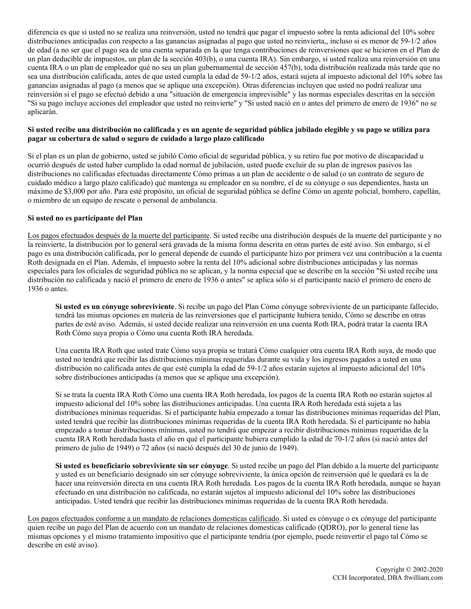diferencia es que si usted no se realiza una reinversión, usted no tendrá que pagar el impuesto sobre la renta adicional del 10% sobre distribuciones anticipadas con respecto a las ganancias asignadas al pago que usted no reinvierta,, incluso si es menor de 59-1/2 años de edad (a no ser que el pago sea de una cuenta separada en la que tenga contribuciones de reinversiones que se hicieron en el Plan de un plan deducible de impuestos, un plan de la sección 403(b), o una cuenta IRA). Sin embargo, si usted realiza una reinversión en una cuenta IRA o un plan de empleador qué no sea un plan gubernamental de sección 457(b), toda distribución realizada más tarde que no sea una distribución calificada, antes de que usted cumpla la edad de 59-1/2 años, estará sujeta al impuesto adicional del 10% sobre las ganancias asignadas al pago (a menos que se aplique una excepción). Otras diferencias incluyen que usted no podrá realizar una reinversión si el pago se efectuó debido a una "situación de emergencia imprevisible" y las normas especiales descritas en la sección "Si su pago incluye acciones del empleador que usted no reinvierte" y "Si usted nació en o antes del primero de enero de 1936" no se aplicarán.

## **Si usted recibe una distribución no calificada y es un agente de seguridad pública jubilado elegible y su pago se utiliza para pagar su cobertura de salud o seguro de cuidado a largo plazo calificado**

Si el plan es un plan de gobierno, usted se jubiló Cómo oficial de seguridad pública, y su retiro fue por motivo de discapacidad u ocurrió después de usted haber cumplido la edad normal de jubilación, usted puede excluir de su plan de ingresos pasivos las distribuciones no calificadas efectuadas directamente Cómo primas a un plan de accidente o de salud (o un contrato de seguro de cuidado médico a largo plazo calificado) qué mantenga su empleador en su nombre, el de su cónyuge o sus dependientes, hasta un máximo de \$3,000 por año. Para esté propósito, un oficial de seguridad pública se define Cómo un agente policial, bombero, capellán, o miembro de un equipo de rescate o personal de ambulancia.

## **Si usted no es participante del Plan**

Los pagos efectuados después de la muerte del participante. Si usted recibe una distribución después de la muerte del participante y no la reinvierte, la distribución por lo general será gravada de la misma forma descrita en otras partes de esté aviso. Sin embargo, si el pago es una distribución calificada, por lo general depende de cuando el participante hizo por primera vez una contribución a la cuenta Roth designada en el Plan. Además, el impuesto sobre la renta del 10% adicional sobre distribuciones anticipadas y las normas especiales para los oficiales de seguridad pública no se aplican, y la norma especial que se describe en la sección "Si usted recibe una distribución no calificada y nació el primero de enero de 1936 o antes" se aplica sólo si el participante nació el primero de enero de 1936 o antes.

**Si usted es un cónyuge sobreviviente**. Si recibe un pago del Plan Cómo cónyuge sobreviviente de un participante fallecido, tendrá las mismas opciones en materia de las reinversiones que el participante hubiera tenido, Cómo se describe en otras partes de esté aviso. Además, si usted decide realizar una reinversión en una cuenta Roth IRA, podrá tratar la cuenta IRA Roth Cómo suya propia o Cómo una cuenta Roth IRA heredada.

Una cuenta IRA Roth que usted trate Cómo suya propia se tratará Cómo cualquier otra cuenta IRA Roth suya, de modo que usted no tendrá que recibir las distribuciones mínimas requeridas durante su vida y los ingresos pagados a usted en una distribución no calificada antes de que esté cumpla la edad de 59-1/2 años estarán sujetos al impuesto adicional del 10% sobre distribuciones anticipadas (a menos que se aplique una excepción).

Si se trata la cuenta IRA Roth Cómo una cuenta IRA Roth heredada, los pagos de la cuenta IRA Roth no estarán sujetos al impuesto adicional del 10% sobre las distribuciones anticipadas. Una cuenta IRA Roth heredada está sujeta a las distribuciones mínimas requeridas. Si el participante había empezado a tomar las distribuciones mínimas requeridas del Plan, usted tendrá que recibir las distribuciones mínimas requeridas de la cuenta IRA Roth heredada. Si el participante no había empezado a tomar distribuciones mínimas, usted no tendrá que empezar a recibir distribuciones mínimas requeridas de la cuenta IRA Roth heredada hasta el año en qué el participante hubiera cumplido la edad de 70-1/2 años (si nació antes del primero de julio de 1949) o 72 años (si nació después del 30 de junio de 1949).

**Si usted es beneficiario sobreviviente sin ser cónyuge**. Si usted recibe un pago del Plan debido a la muerte del participante y usted es un beneficiario designado sin ser cónyuge sobreviviente, la única opción de reinversión qué le quedará es la de hacer una reinversión directa en una cuenta IRA Roth heredada. Los pagos de la cuenta IRA Roth heredada, aunque se hayan efectuado en una distribución no calificada, no estarán sujetos al impuesto adicional del 10% sobre las distribuciones anticipadas. Usted tendrá que recibir las distribuciones mínimas requeridas de la cuenta IRA Roth heredada.

Los pagos efectuados conforme a un mandato de relaciones domesticas calificado. Si usted es cónyuge o ex cónyuge del participante quien recibe un pago del Plan de acuerdo con un mandato de relaciones domesticas calificado (QDRO), por lo general tiene las mismas opciones y el mismo tratamiento impositivo que el participante tendría (por ejemplo, puede reinvertir el pago tal Cómo se describe en esté aviso).